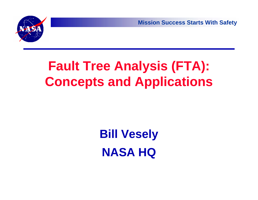

# **Fault Tree Analysis (FTA): Concepts and Applications**

# **Bill Vesely NASA HQ**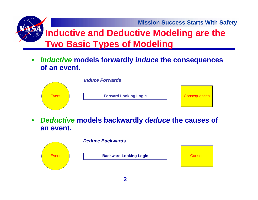**Mission Success Starts With Safety Inductive and Deductive Modeling are the Two Basic Types of Modeling** 

• *Inductive* **models forwardly** *induce* **the consequences of an event.**



 $\bullet$  *Deductive* **models backwardly** *deduce* **the causes of an event.**

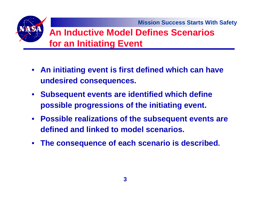#### **An Inductive Model Defines Scenarios for an Initiating Event**

- **An initiating event is first defined which can have undesired consequences.**
- **Subsequent events are identified which define possible progressions of the initiating event.**
- **Possible realizations of the subsequent events are defined and linked to model scenarios.**
- $\bullet$ **The consequence of each scenario is described.**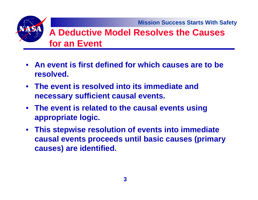**Mission Success Starts With Safety**

#### **A Deductive Model Resolves the Causes for an Event**

- **An event is first defined for which causes are to be resolved.**
- **The event is resolved into its immediate and necessary sufficient causal events.**
- **The event is related to the causal events using appropriate logic.**
- **This stepwise resolution of events into immediate causal events proceeds until basic causes (primary causes) are identified.**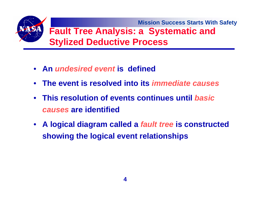

- **An** *undesired event* **is defined**
- **The event is resolved into its** *immediate causes*
- **This resolution of events continues until** *basic causes* **are identified**
- **A logical diagram called a** *fault tree* **is constructed showing the logical event relationships**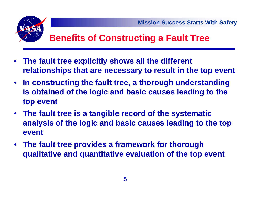

#### **Benefits of Constructing a Fault Tree**

- **The fault tree explicitly shows all the different relationships that are necessary to result in the top event**
- **In constructing the fault tree, a thorough understanding is obtained of the logic and basic causes leading to the top event**
- **The fault tree is a tangible record of the systematic analysis of the logic and basic causes leading to the top event**
- **The fault tree provides a framework for thorough qualitative and quantitative evaluation of the top event**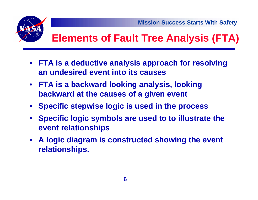



- **FTA is a deductive analysis approach for resolving an undesired event into its causes**
- $\bullet$  **FTA is a backward looking analysis, looking backward at the causes of a given event**
- •**Specific stepwise logic is used in the process**
- • **Specific logic symbols are used to to illustrate the event relationships**
- $\bullet$  **A logic diagram is constructed showing the event relationships.**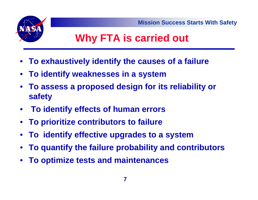



# **Why FTA is carried out**

- **To exhaustively identify the causes of a failure**
- **To identify weaknesses in a system**
- **To assess a proposed design for its reliability or safety**
- •**To identify effects of human errors**
- **To prioritize contributors to failure**
- **To identify effective upgrades to a system**
- •**To quantify the failure probability and contributors**
- •**To optimize tests and maintenances**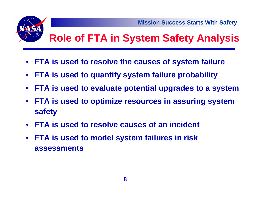

# **Role of FTA in System Safety Analysis**

- **FTA is used to resolve the causes of system failure**
- $\bullet$ **FTA is used to quantify system failure probability**
- •**FTA is used to evaluate potential upgrades to a system**
- • **FTA is used to optimize resources in assuring system safety**
- **FTA is used to resolve causes of an incident**
- • **FTA is used to model system failures in risk assessments**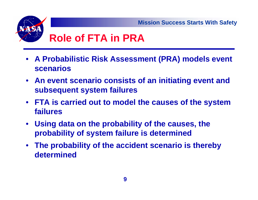

# **Role of FTA in PRA**

- **A Probabilistic Risk Assessment (PRA) models event scenarios**
- **An event scenario consists of an initiating event and subsequent system failures**
- **FTA is carried out to model the causes of the system failures**
- **Using data on the probability of the causes, the probability of system failure is determined**
- **The probability of the accident scenario is thereby determined**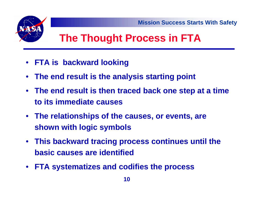

# **The Thought Process in FTA**

- **FTA is backward looking**
- •**The end result is the analysis starting point**
- **The end result is then traced back one step at a time to its immediate causes**
- **The relationships of the causes, or events, are shown with logic symbols**
- **This backward tracing process continues until the basic causes are identified**
- $\bullet$ **FTA systematizes and codifies the process**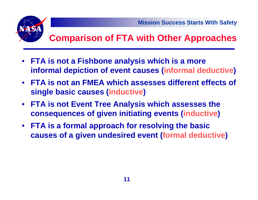

## **Comparison of FTA with Other Approaches**

- $\bullet$  **FTA is not a Fishbone analysis which is a more informal depiction of event causes (informal deductive )**
- **FTA is not an FMEA which assesses different effects of single basic causes (inductive )**
- **FTA is not Event Tree Analysis which assesses the consequences of given initiating events (inductive )**
- **FTA is a formal approach for resolving the basic causes of a given undesired event (formal deductive )**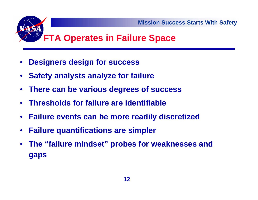

### **FTA Operates in Failure Space**

- •**Designers design for success**
- •**Safety analysts analyze for failure**
- •**There can be various degrees of success**
- **Thresholds for failure are identifiable**
- **Failure events can be more readily discretized**
- •**Failure quantifications are simpler**
- **The "failure mindset" probes for weaknesses and gaps**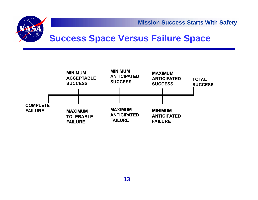



#### **Success Space Versus Failure Space**

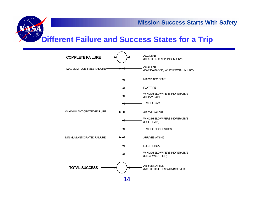

#### **Different Failure and Success States for a Trip**



**14**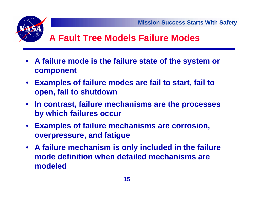

#### **A Fault Tree Models Failure Modes**

- **A failure mode is the failure state of the system or component**
- **Examples of failure modes are fail to start, fail to open, fail to shutdown**
- **In contrast, failure mechanisms are the processes by which failures occur**
- **Examples of failure mechanisms are corrosion, overpressure, and fatigue**
- **A failure mechanism is only included in the failure mode definition when detailed mechanisms are modeled**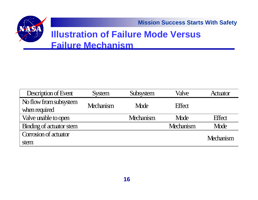**Mission Success Starts With Safety**

#### **Illustration of Failure Mode Versus Failure Mechanism**

| Description of Event                    | <b>System</b>    | Subsystem        | Valve            | Actuator      |
|-----------------------------------------|------------------|------------------|------------------|---------------|
| No flow from subsystem<br>when required | <b>Mechanism</b> | Mode             | <b>Effect</b>    |               |
| Valve unable to open                    |                  | <b>Mechanism</b> | Mode             | <b>Effect</b> |
| Binding of actuator stem                |                  |                  | <b>Mechanism</b> | Mode          |
| Corrosion of actuator                   |                  |                  |                  | Mechanism     |
| stem                                    |                  |                  |                  |               |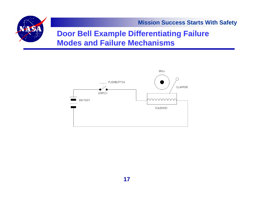

**Mission Success Starts With Safety**

#### **Door Bell Example Differentiating Failure Modes and Failure Mechanisms**

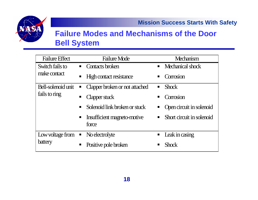

#### **Failure Modes and Mechanisms of the Door Bell System**

| <b>Failure Effect</b>                                                                          | <b>Failure Mode</b>                              | Mechanism                                   |  |
|------------------------------------------------------------------------------------------------|--------------------------------------------------|---------------------------------------------|--|
| Switch fails to                                                                                | Contacts broken<br>$\blacksquare$                | Mechanical shock<br>$\blacksquare$          |  |
| make contact                                                                                   | <b>High contact resistance</b><br>$\blacksquare$ | Corrosion                                   |  |
| Bell-solenoid unit<br>ш<br>fails to ring<br>$\blacksquare$<br>$\blacksquare$<br>$\blacksquare$ | Clapper broken or not attached                   | <b>Shock</b><br>$\blacksquare$              |  |
|                                                                                                | Clapper stuck                                    | Corrosion<br>$\blacksquare$                 |  |
|                                                                                                | Solenoid link broken or stuck                    | Open circuit in solenoid                    |  |
|                                                                                                | Insufficient magneto-motive<br>force             | Short circuit in solenoid<br>$\blacksquare$ |  |
| Low voltage from<br>$\blacksquare$<br>battery<br>$\blacksquare$                                | No electrolyte                                   | Leak in casing<br>$\blacksquare$            |  |
|                                                                                                | Positive pole broken                             | <b>Shock</b>                                |  |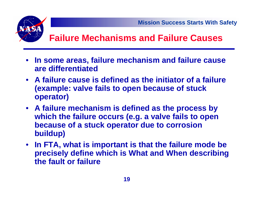

#### **Failure Mechanisms and Failure Causes**

- **In some areas, failure mechanism and failure cause are differentiated**
- **A failure cause is defined as the initiator of a failure (example: valve fails to open because of stuck operator)**
- **A failure mechanism is defined as the process by which the failure occurs (e.g. a valve fails to open because of a stuck operator due to corrosion buildup)**
- **In FTA, what is important is that the failure mode be precisely define which is What and When describing the fault or failure**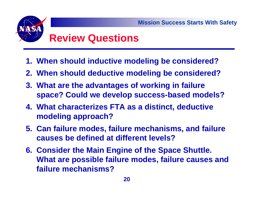## **Review Questions**

- **1. When should inductive modeling be considered?**
- **2. When should deductive modeling be considered?**
- **3. What are the advantages of working in failure space? Could we develop success-based models?**
- **4. What characterizes FTA as a distinct, deductive modeling approach?**
- **5. Can failure modes, failure mechanisms, and failure causes be defined at different levels?**
- **6. Consider the Main Engine of the Space Shuttle. What are possible failure modes, failure causes and failure mechanisms?**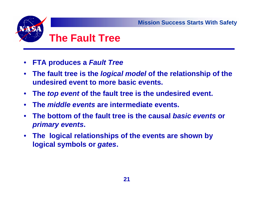

- •**FTA produces a** *Fault Tree*
- $\bullet$  **The fault tree is the** *logical model* **of the relationship of the undesired event to more basic events.**
- $\bullet$ **The** *top event* **of the fault tree is the undesired event.**
- •**The** *middle events* **are intermediate events.**
- $\bullet$  **The bottom of the fault tree is the causal** *basic events* **or**  *primary events***.**
- **The logical relationships of the events are shown by logical symbols or** *gates***.**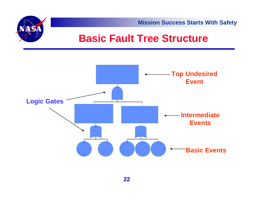

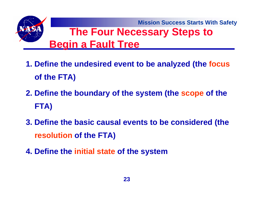

- **1. Define the undesired event to be analyzed (the focus of the FTA)**
- **2. Define the boundary of the system (the scope of the FTA)**
- **3. Define the basic causal events to be considered (the resolution of the FTA)**
- **4. Define the initial state of the system**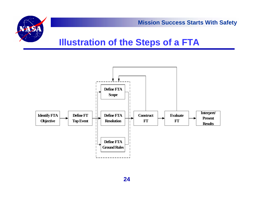

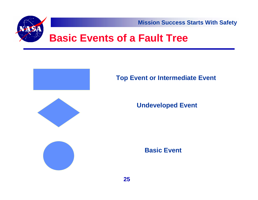**Mission Success Starts With Safety**



#### **Basic Events of a Fault Tree**



#### **Top Event or Intermediate Event**



#### **Undeveloped Event**



**Basic Event**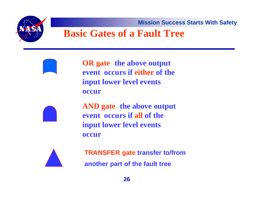**Mission Success Starts With Safety**

#### **Basic Gates of a Fault Tree**

**OR gate the above output event occurs if either of the input lower level events occur**



**AND gate the above output event occurs if all of the input lower level events occur**



**TRANSFER gate transfer to/from another part of the fault tree**

**26**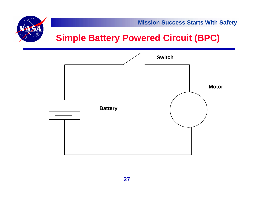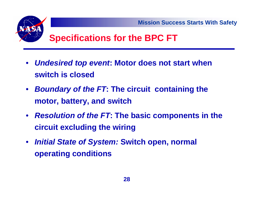

#### **Specifications for the BPC FT**

- $\bullet$  *Undesired top event***: Motor does not start when switch is closed**
- $\bullet$  *Boundary of the FT***: The circuit containing the motor, battery, and switch**
- *Resolution of the FT***: The basic components in the circuit excluding the wiring**
- *Initial State of System:* **Switch open, normal operating conditions**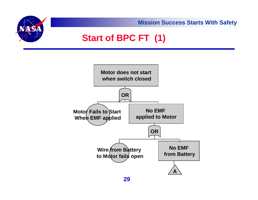**Mission Success Starts With Safety Start of BPC FT (1)**



**29**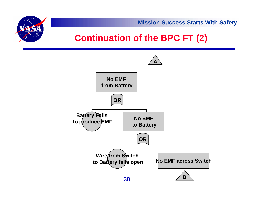

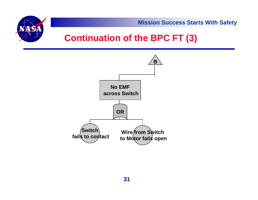

**Wire from Switch to Motor fails open**

**Switch fails to contact**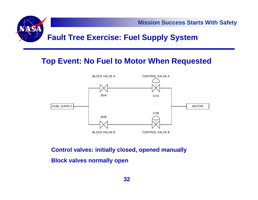

#### **Top Event: No Fuel to Motor When Requested**



**Control valves: initially closed, opened manually Block valves normally open**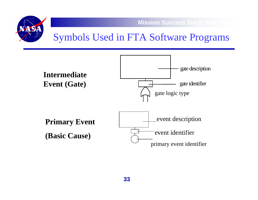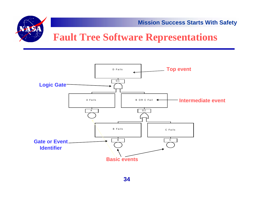



### **Fault Tree Software Representations**

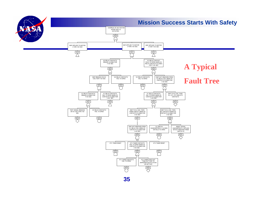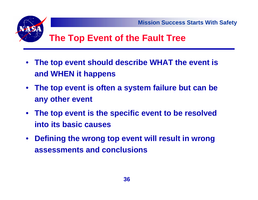

#### **The Top Event of the Fault Tree**

- • **The top event should describe WHAT the event is and WHEN it happens**
- **The top event is often a system failure but can be any other event**
- **The top event is the specific event to be resolved into its basic causes**
- $\bullet$  **Defining the wrong top event will result in wrong assessments and conclusions**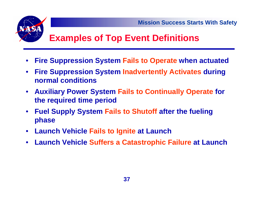

## **Examples of Top Event Definitions**

- $\bullet$ **Fire Suppression System Fails to Operate when actuated**
- $\bullet$  **Fire Suppression System Inadvertently Activates during normal conditions**
- $\bullet$  **Auxiliary Power System Fails to Continually Operate for the required time period**
- $\bullet$  **Fuel Supply System Fails to Shutoff after the fueling phase**
- $\bullet$ **Launch Vehicle Fails to Ignite at Launch**
- $\bullet$ **Launch Vehicle Suffers a Catastrophic Failure at Launch**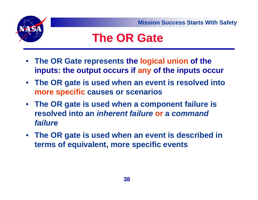



# **The OR Gate**

- **The OR Gate represents the logical union of the inputs: the output occurs if any of the inputs occur**
- **The OR gate is used when an event is resolved into more specific causes or scenarios**
- **The OR gate is used when a component failure is resolved into an** *inherent failure* **or a** *command failure*
- **The OR gate is used when an event is described in terms of equivalent, more specific events**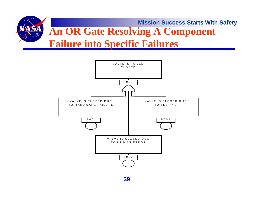

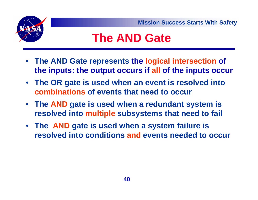# **The AND Gate**

- **The AND Gate represents the logical intersection of the inputs: the output occurs if all of the inputs occur**
- **The OR gate is used when an event is resolved into combinations of events that need to occur**
- **The AND gate is used when a redundant system is resolved into multiple subsystems that need to fail**
- **The AND gate is used when a system failure is resolved into conditions and events needed to occur**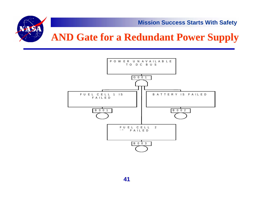

## **AND Gate for a Redundant Power Supply**

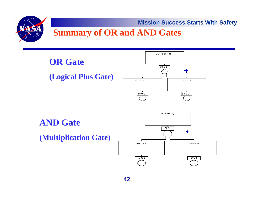#### **Summary of OR and AND Gates**

A QA

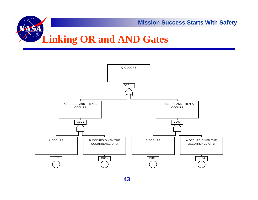

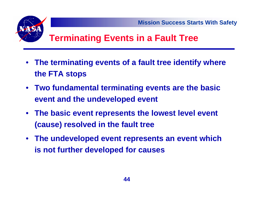

## **Terminating Events in a Fault Tree**

- • **The terminating events of a fault tree identify where the FTA stops**
- **Two fundamental terminating events are the basic event and the undeveloped event**
- **The basic event represents the lowest level event (cause) resolved in the fault tree**
- $\bullet$  **The undeveloped event represents an event which is not further developed for causes**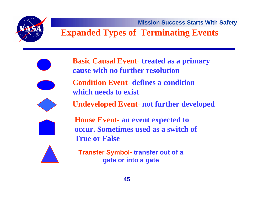### **Expanded Types of Terminating Events**

- **Basic Causal Event treated as a primary cause with no further resolution**
	- **Condition Event - defines a condition which needs to exist**
		- **Undeveloped Event not further developed**
		- **House Event an event expected to occur. Sometimes used as a switch of True or False**

**Transfer Symbol- transfer out of a gate or into a gate**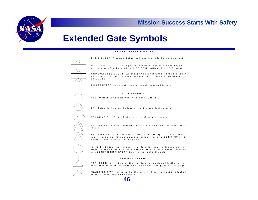

#### **Extended Gate Symbols**

#### PRIMARY FVENT SYMBOLS



**46**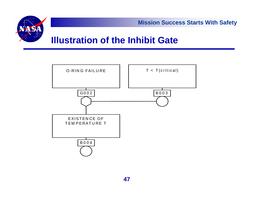

#### **Illustration of the Inhibit Gate**

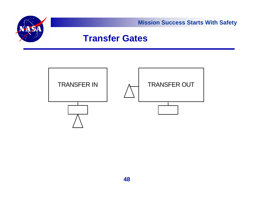

#### **Transfer Gates**

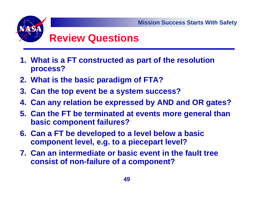# **Review Questions**

- **1. What is a FT constructed as part of the resolution process?**
- **2. What is the basic paradigm of FTA?**
- **3. Can the top event be a system success?**
- **4. Can any relation be expressed by AND and OR gates?**
- **5. Can the FT be terminated at events more general than basic component failures?**
- **6. Can a FT be developed to a level below a basic component level, e.g. to a piecepart level?**
- **7. Can an intermediate or basic event in the fault tree consist of non-failure of a component?**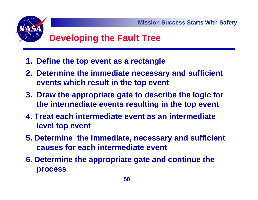

## **Developing the Fault Tree**

- **1. Define the top event as a rectangle**
- **2. Determine the immediate necessary and sufficient events which result in the top event**
- **3. Draw the appropriate gate to describe the logic for the intermediate events resulting in the top event**
- **4. Treat each intermediate event as an intermediate level top event**
- **5. Determine the immediate, necessary and sufficient causes for each intermediate event**
- **6. Determine the appropriate gate and continue the process**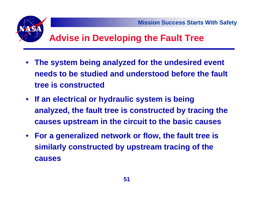

### **Advise in Developing the Fault Tree**

- • **The system being analyzed for the undesired event needs to be studied and understood before the fault tree is constructed**
- **If an electrical or hydraulic system is being analyzed, the fault tree is constructed by tracing the causes upstream in the circuit to the basic causes**
- $\bullet$  **For a generalized network or flow, the fault tree is similarly constructed by upstream tracing of the causes**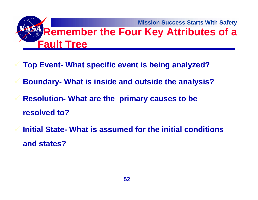**Mission Success Starts With Safety Remember the Four Key Attributes of a Fault Tree**

- **Top Event- What specific event is being analyzed?**
- **Boundary- What is inside and outside the analysis?**
- **Resolution- What are the primary causes to be resolved to?**
- **Initial State- What is assumed for the initial conditions and states?**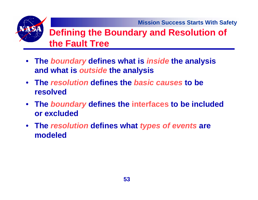#### **Defining the Boundary and Resolution of the Fault Tree**

- **The** *boundary* **defines what is** *inside* **the analysis and what is** *outside* **the analysis**
- **The** *resolution* **defines the** *basic causes* **to be resolved**
- **The** *boundary* **defines the interfaces to be included or excluded**
- **The** *resolution* **defines what** *types of events* **are modeled**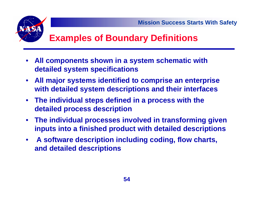## **Examples of Boundary Definitions**

- $\bullet$  **All components shown in a system schematic with detailed system specifications**
- **All major systems identified to comprise an enterprise with detailed system descriptions and their interfaces**
- **The individual steps defined in a process with the detailed process description**
- **The individual processes involved in transforming given inputs into a finished product with detailed descriptions**
- **A software description including coding, flow charts, and detailed descriptions**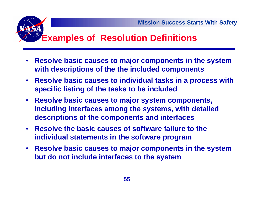### **Examples of Resolution Definitions**

- $\bullet$  **Resolve basic causes to major components in the system with descriptions of the the included components**
- **Resolve basic causes to individual tasks in a process with specific listing of the tasks to be included**
- **Resolve basic causes to major system components, including interfaces among the systems, with detailed descriptions of the components and interfaces**
- **Resolve the basic causes of software failure to the individual statements in the software program**
- **Resolve basic causes to major components in the system but do not include interfaces to the system**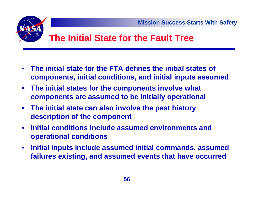

#### **The Initial State for the Fault Tree**

- $\bullet$  **The initial state for the FTA defines the initial states of components, initial conditions, and initial inputs assumed**
- $\bullet$  **The initial states for the components involve what components are assumed to be initially operational**
- $\bullet$  **The initial state can also involve the past history description of the component**
- $\bullet$  **Initial conditions include assumed environments and operational conditions**
- $\bullet$  **Initial inputs include assumed initial commands, assumed failures existing, and assumed events that have occurred**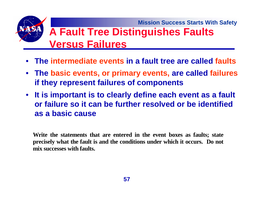**Mission Success Starts With Safety A Fault Tree Distinguishes Faults Versus Failures** 

- **The intermediate events in a fault tree are called faults**
- **The basic events, or primary events, are called failures if they represent failures of components**
- **It is important is to clearly define each event as a fault or failure so it can be further resolved or be identified as a basic cause**

**Write the statements that are entered in the event boxes as faults; state precisely what the fault is and the conditions under which it occurs. Do not mix successes with faults.**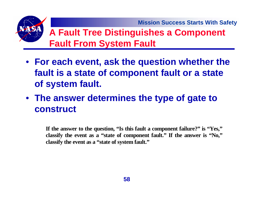#### **A Fault Tree Distinguishes a Component Fault From System Fault**

- **For each event, ask the question whether the fault is a state of component fault or a state of system fault.**
- **The answer determines the type of gate to construct**

**If the answer to the question, "Is this fault a component failure?" is "Yes," classify the event as a "state of component fault." If the answer is "No," classify the event as a "state of system fault."**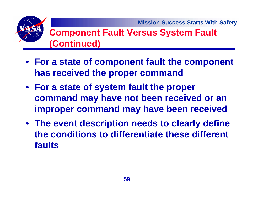#### **Component Fault Versus System Fault (Continued)**

- **For a state of component fault the component has received the proper command**
- **For a state of system fault the proper command may have not been received or an improper command may have been received**
- **The event description needs to clearly define the conditions to differentiate these different faults**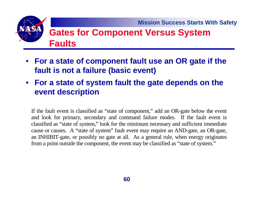#### **Gates for Component Versus System Faults**

- **For a state of component fault use an OR gate if the fault is not a failure (basic event)**
- **For a state of system fault the gate depends on the event description**

If the fault event is classified as "state of component," add an OR-gate below the event and look for primar y, secondar y and command failure modes. If the fault event is classified as "state of system," look for the minimum necessar y and sufficient immediate cause or causes. A "state of system" fault event may require an AND-gate, an OR-gate, an INHIBIT-gate, or possibl y no gate at all. As a general rule, when energy ori ginates from a point outside the component, the event may be classified as "state of system."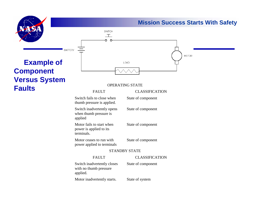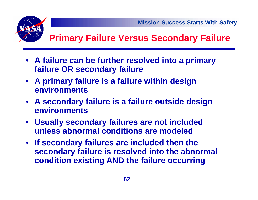



## **Primary Failure Versus Secondary Failure**

- **A failure can be further resolved into a primary failure OR secondary failure**
- **A primary failure is a failure within design environments**
- **A secondary failure is a failure outside design environments**
- **Usually secondary failures are not included unless abnormal conditions are modeled**
- **If secondary failures are included then the secondary failure is resolved into the abnormal condition existing AND the failure occurring**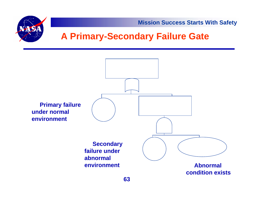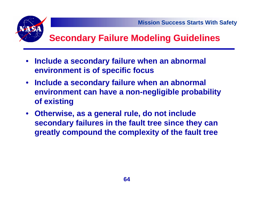

## **Secondary Failure Modeling Guidelines**

- • **Include a secondary failure when an abnormal environment is of specific focus**
- **Include a secondary failure when an abnormal environment can have a non-negligible probability of existing**
- **Otherwise, as a general rule, do not include secondary failures in the fault tree since they can greatly compound the complexity of the fault tree**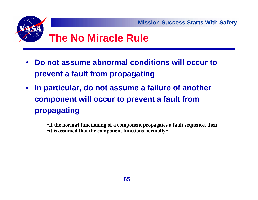

- • **Do not assume abnormal conditions will occur to prevent a fault from propagating**
- • **In particular, do not assume a failure of another component will occur to prevent a fault from propagating**

•**If the normal functioning of a component propagates a fault sequence, then** •**it is assumed that the component functions normally.**•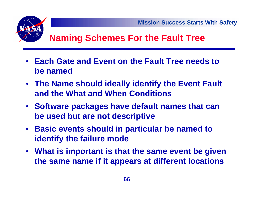## **Naming Schemes For the Fault Tree**

- **Each Gate and Event on the Fault Tree needs to be named**
- **The Name should ideally identify the Event Fault and the What and When Conditions**
- **Software packages have default names that can be used but are not descriptive**
- **Basic events should in particular be named to identify the failure mode**
- **What is important is that the same event be given the same name if it appears at different locations**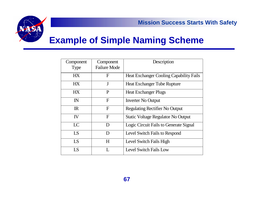

#### **Example of Simple Naming Scheme**

| Component    | Component           | Description                                    |
|--------------|---------------------|------------------------------------------------|
| <b>Type</b>  | <b>Failure Mode</b> |                                                |
| HX           | $\mathbf F$         | <b>Heat Exchanger Cooling Capability Fails</b> |
| HX           | $\mathbf{J}$        | Heat Exchanger Tube Rupture                    |
| HX           | P                   | <b>Heat Exchanger Plugs</b>                    |
| $\mathbb{N}$ | $\mathbf{F}$        | <b>Inverter No Output</b>                      |
| $\mathbb{R}$ | $\mathbf{F}$        | <b>Regulating Rectifier No Output</b>          |
| IV           | F                   | <b>Static Voltage Regulator No Output</b>      |
| LC           | D                   | Logic Circuit Fails to Generate Signal         |
| LS           | D                   | Level Switch Fails to Respond                  |
| LS           | H                   | Level Switch Fails High                        |
| LS           | L                   | Level Switch Fails Low                         |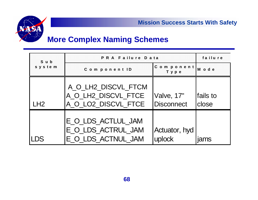



#### **More Complex Naming Schemes**

| Sub    | PRA Failure Data                                                  | failure                         |                   |
|--------|-------------------------------------------------------------------|---------------------------------|-------------------|
| system | Component ID                                                      | Component<br>Туре               | M o d e           |
| LH2    | A_O_LH2_DISCVL_FTCM<br>A_O_LH2_DISCVL_FTCE<br>A_O_LO2_DISCVL_FTCE | Valve, 17"<br><b>Disconnect</b> | fails to<br>close |
| LDS    | E_O_LDS_ACTLUL_JAM<br>E_O_LDS_ACTRUL_JAM<br>E_O_LDS_ACTNUL_JAM    | Actuator, hyd<br>uplock         |                   |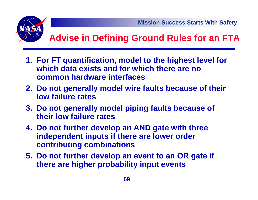

## **Advise in Defining Ground Rules for an FTA**

- **1. For FT quantification, model to the highest level for which data exists and for which there are no common hardware interfaces**
- **2. Do not generally model wire faults because of their low failure rates**
- **3. Do not generally model piping faults because of their low failure rates**
- **4. Do not further develop an AND gate with three independent inputs if there are lower order contributing combinations**
- **5. Do not further develop an event to an OR gate if there are higher probability input events**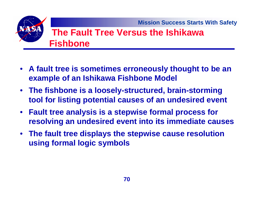# **The Fault Tree Versus the Ishikawa Fishbone**

- **A fault tree is sometimes erroneously thought to be an example of an Ishikawa Fishbone Model**
- **The fishbone is a loosely-structured, brain-storming tool for listing potential causes of an undesired event**
- **Fault tree analysis is a stepwise formal process for resolving an undesired event into its immediate causes**
- **The fault tree displays the stepwise cause resolution using formal logic symbols**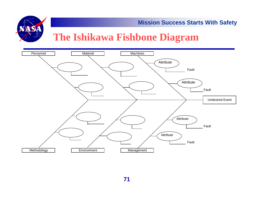

#### **The Ishikawa Fishbone Diagram**

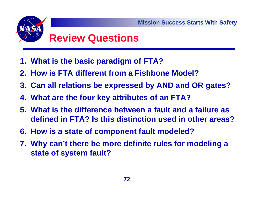# **Review Questions**

- **1. What is the basic paradigm of FTA?**
- **2. How is FTA different from a Fishbone Model?**
- **3. Can all relations be expressed by AND and OR gates?**
- **4. What are the four key attributes of an FTA?**
- **5. What is the difference between a fault and a failure as defined in FTA? Is this distinction used in other areas?**
- **6. How is a state of component fault modeled?**
- **7. Why can't there be more definite rules for modeling a state of system fault?**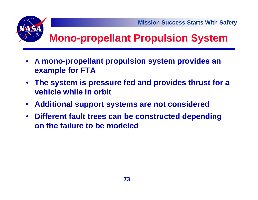

# **Mono-propellant Propulsion System**

- • **A mono-propellant propulsion system provides an example for FTA**
- • **The system is pressure fed and provides thrust for a vehicle while in orbit**
- $\bullet$ **Additional support systems are not considered**
- • **Different fault trees can be constructed depending on the failure to be modeled**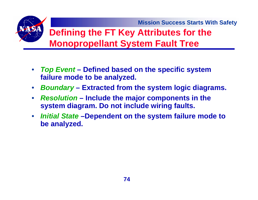## **Defining the FT Key Attributes for the Monopropellant System Fault Tree**

- *Top Event* **– Defined based on the specific system failure mode to be analyzed.**
- $\bullet$ *Boundary* **– Extracted from the system logic diagrams.**
- $\bullet$  *Resolution* **– Include the major components in the system diagram. Do not include wiring faults.**
- $\bullet$  *Initial State* **–Dependent on the system failure mode to be analyzed.**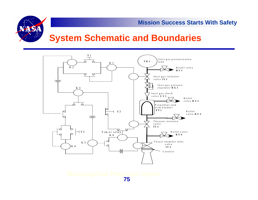

### **System Schematic and Boundaries**



Monopropellant Propulsion System **75**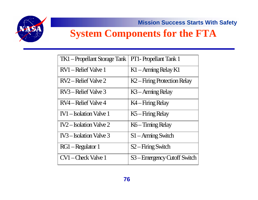

# **System Components for the FTA**

| <b>TK1</b> – Propellant Storage Tank | <b>PT1-</b> Propellant Tank 1           |
|--------------------------------------|-----------------------------------------|
| RV1 – Relief Valve 1                 | K1 – Arming Relay K1                    |
| RV2 – Relief Valve 2                 | K <sub>2</sub> -Firing Protection Relay |
| RV3 – Relief Valve 3                 | K3 – Arming Relay                       |
| RV4 – Relief Valve 4                 | K4 – Firing Relay                       |
| <b>IV1</b> - Isolation Valve 1       | K5 – Firing Relay                       |
| $IV2$ – Isolation Valve 2            | K6 – Timing Relay                       |
| IV3-Isolation Valve 3                | S1 – Arming Switch                      |
| RG1-Regulator 1                      | S <sub>2</sub> -Firing Switch           |
| CV1-Check Valve 1                    | S3-Emergency Cutoff Switch              |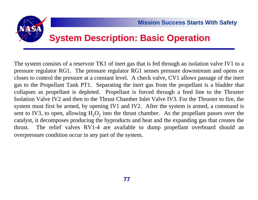

### **System Description: Basic Operation**

The system consists of a reservoir TK1 of inert gas that is fed through an isolation valve IV1 to a pressure regulator RG1. The pressure regulator RG1 senses pressure downstream and opens or closes to control the pressure at a constant level. A check valve, CV1 allows passage of the inert gas to the Propellant Tank PT1. Separating the inert gas from the propellant is a bladder that collapses as propellant is depleted. Propellant is forced through a feed line to the Thruster Isolation Valve IV2 and then to the Thrust Chamber Inlet Valve IV3. For the Thruster to fire, the system must first be armed, by opening IV1 and IV2. After the system is armed, a command is sent to IV3, to open, allowing  $H_2O_2$  into the thrust chamber. As the propellant passes over the catalyst, it decomposes producing the byproducts and heat and the expanding gas that creates the thrust. The relief valves RV1-4 are available to dump propellant overboard should an overpressure condition occur in any part of the system.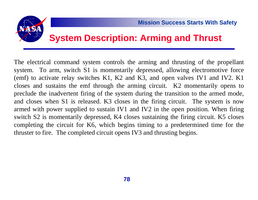

### **System Description: Arming and Thrust**

The electrical command system controls the arming and thrusting of the propellant system. To arm, switch S1 is momentarily depressed, allowing electromotive force (emf) to activate relay switches K1, K2 and K3, and open valves IV1 and IV2. K1 closes and sustains the emf through the arming circuit. K2 momentarily opens to preclude the inadvertent firing of the system during the transition to the armed mode, and closes when S1 is released. K3 closes in the firing circuit. The system is now armed with power supplied to sustain IV1 and IV2 in the open position. When firing switch S2 is momentarily depressed, K4 closes sustaining the firing circuit. K5 closes completing the circuit for K6, which begins timing to a predetermined time for the thruster to fire. The completed circuit opens IV3 and thrusting begins.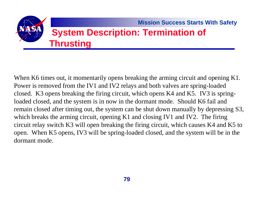

When K6 times out, it momentarily opens breaking the arming circuit and opening K1. Power is removed from the IV1 and IV2 relays and both valves are spring-loaded closed. K3 opens breaking the firing circuit, which opens K4 and K5. IV3 is springloaded closed, and the system is in now in the dormant mode. Should K6 fail and remain closed after timing out, the system can be shut down manually by depressing S3, which breaks the arming circuit, opening K1 and closing IV1 and IV2. The firing circuit relay switch K3 will open breaking the firing circuit, which causes K4 and K5 to open. When K5 opens, IV3 will be spring-loaded closed, and the system will be in the dormant mode.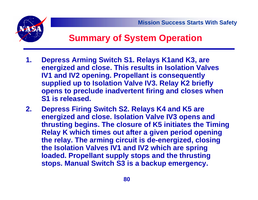



### **Summary of System Operation**

- **1. Depress Arming Switch S1. Relays K1and K3, are energized and close. This results in Isolation Valves IV1 and IV2 opening. Propellant is consequently supplied up to Isolation Valve IV3. Relay K2 briefly opens to preclude inadvertent firing and closes when S1 is released.**
- **2. Depress Firing Switch S2. Relays K4 and K5 are energized and close. Isolation Valve IV3 opens and thrusting begins. The closure of K5 initiates the Timing Relay K which times out after a given period opening the relay. The arming circuit is de-energized, closing the Isolation Valves IV1 and IV2 which are spring loaded. Propellant supply stops and the thrusting stops. Manual Switch S3 is a backup emergency.**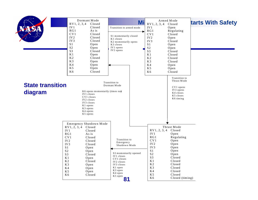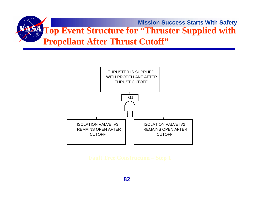

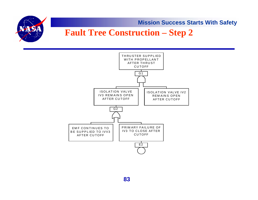

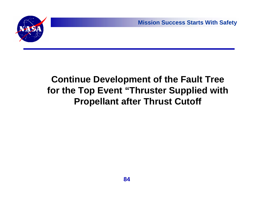## **Continue Development of the Fault Tree for the Top Event "Thruster Supplied with Propellant after Thrust Cutoff**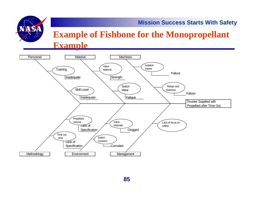### **Example of Fishbone for the Monopropellant Example**

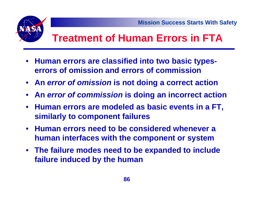

# **Treatment of Human Errors in FTA**

- $\bullet$  **Human errors are classified into two basic typeserrors of omission and errors of commission**
- **An** *error of omission* **is not doing a correct action**
- **An** *error of commission* **is doing an incorrect action**
- **Human errors are modeled as basic events in a FT, similarly to component failures**
- **Human errors need to be considered whenever a human interfaces with the component or system**
- **The failure modes need to be expanded to include failure induced by the human**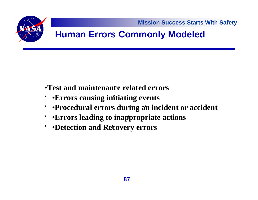

## **Human Errors Commonly Modeled**

- •**Test and maintenance related errors** •
- •**Errors causing initiating events** •
- ••**Procedural errors during an incident or accident** •
- ••**Errors leading to inappropriate actions** •
- •**Detection and Recovery errors** •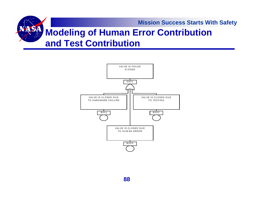## **Modeling of Human Error Contribution and Test Contribution**

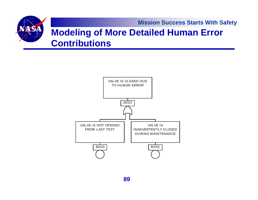### **Modeling of More Detailed Human Error Contributions**

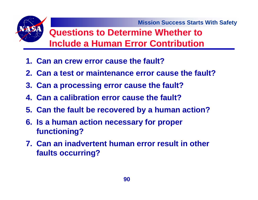### **Questions to Determine Whether to Include a Human Error Contribution**

- **1. Can an crew error cause the fault?**
- **2. Can a test or maintenance error cause the fault?**
- **3. Can a processing error cause the fault?**
- **4. Can a calibration error cause the fault?**
- **5. Can the fault be recovered by a human action?**
- **6. Is a human action necessary for proper functioning?**
- **7. Can an inadvertent human error result in other faults occurring?**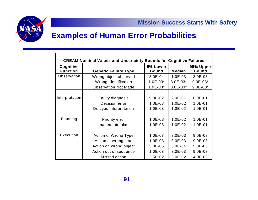

### **Examples of Human Error Probabilities**

| <b>CREAM Nominal Values and Uncertainty Bounds for Cognitive Failures</b> |                             |                          |               |                           |  |
|---------------------------------------------------------------------------|-----------------------------|--------------------------|---------------|---------------------------|--|
| Cognitive<br><b>Function</b>                                              | <b>Generic Failure Type</b> | 5% Lower<br><b>Bound</b> | <b>Median</b> | 95% Upper<br><b>Bound</b> |  |
| Observation                                                               | Wrong object observed       | $3.0E - 04$              | $1.0E-03$     | $3.0E-03$                 |  |
|                                                                           | Wrong Identification        | $1.0E-03*$               | $3.0E - 03*$  | $9.0E-03*$                |  |
|                                                                           | <b>Observation Not Made</b> | $1.0E-03*$               | $3.0E-03*$    | $9.0E-03*$                |  |
|                                                                           |                             |                          |               |                           |  |
| Interpretation                                                            | Faulty diagnosis            | $9.0E - 02$              | $2.0E - 01$   | $6.0E - 01$               |  |
|                                                                           | Decision error              | $1.0E-03$                | $1.0E - 02$   | $1.0E - 01$               |  |
|                                                                           | Delayed interpretation      | $1.0E-03$                | $1.0E-02$     | $1.0E - 01$               |  |
|                                                                           |                             |                          |               |                           |  |
| Planning                                                                  | <b>Priority error</b>       | $1.0E-03$                | $1.0E-02$     | $1.0E - 01$               |  |
|                                                                           | Inadequate plan             | $1.0E-03$                | $1.0E-02$     | $1.0E-01$                 |  |
|                                                                           |                             |                          |               |                           |  |
| Execution                                                                 | Action of Wrong Type        | $1.0E-03$                | $3.0E-03$     | $9.0E-03$                 |  |
|                                                                           | Action at wrong time        | $1.0E-03$                | $3.0E-03$     | $9.0E-03$                 |  |
|                                                                           | Action on wrong object      | 5.0E-05                  | 5.0E-04       | $5.0E-03$                 |  |
|                                                                           | Action out of sequence      | $1.0E-03$                | $3.0E-03$     | $9.0E-03$                 |  |
|                                                                           | Missed action               | $2.5E-02$                | $3.0E-02$     | $4.0E-02$                 |  |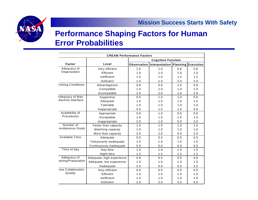

### **Performance Shaping Factors for Human Error Probabilities**

| <b>CREAM Performance Factors</b> |                           |                           |                                       |     |     |  |
|----------------------------------|---------------------------|---------------------------|---------------------------------------|-----|-----|--|
|                                  |                           | <b>Cognitive Function</b> |                                       |     |     |  |
| Factor                           | Level                     | <b>Observation</b>        | Interpretation   Planning   Execution |     |     |  |
| Adequacy of                      | Very efficient            | 1.0                       | 1.0                                   | 0.8 | 0.8 |  |
| Organization                     | Efficient                 | 1.0                       | 1.0                                   | 1.0 | 1.0 |  |
|                                  | Inefficient               | 1.0                       | 1.0                                   | 1.2 | 1.2 |  |
|                                  | Deficient                 | 1.0                       | 1.0                                   | 2.0 | 2.0 |  |
| <b>'orking Conditions</b>        | Advantageous              | 0.8                       | 0.8                                   | 1.0 | 0.8 |  |
|                                  | Compatible                | 1.0                       | 1.0                                   | 1.0 | 1.0 |  |
|                                  | Incompatible              | 2.0                       | 2.0                                   | 1.0 | 2.0 |  |
| <b>Adequacy of Man</b>           | Supportive                | 0.5                       | 1.0                                   | 1.0 | 0.5 |  |
| <b><i>Aachine Interface</i></b>  | Adequate                  | 1.0                       | 1.0                                   | 1.0 | 1.0 |  |
|                                  | Tolerable                 | 1.0                       | 1.0                                   | 1.0 | 1.0 |  |
|                                  | Inappropriate             | 5.0                       | 1.0                                   | 1.0 | 5.0 |  |
| Availability of<br>Procedures    | Appropriate               | 0.8                       | 1.0                                   | 0.5 | 0.8 |  |
|                                  | Acceptable                | 1.0                       | 1.0                                   | 1.0 | 1.0 |  |
|                                  | Inappropriate             | 2.0                       | 1.0                                   | 5.0 | 2.0 |  |
| Number of                        | Fewer than capacity       | 1.0                       | 1.0                                   | 1.0 | 1.0 |  |
| multaneous Goals                 | Matching capacity         | 1.0                       | 1.0                                   | 1.0 | 1.0 |  |
|                                  | More than capacity        | 2.0                       | 2.0                                   | 5.0 | 2.0 |  |
| Available Time                   | Adequate                  | 0.5                       | 0.5                                   | 0.5 | 0.5 |  |
|                                  | Temporarily inadequate    | 1.0                       | 1.0                                   | 1.0 | 1.0 |  |
|                                  | Continuously inadequate   | $5.0$                     | 5.0                                   | 5.0 | 5.0 |  |
| Time of day                      | Day-time                  | 1.0                       | 1.0                                   | 1.0 | 1.0 |  |
|                                  | Night-time                | 1.2                       | 1.2                                   | 1.2 | 1.2 |  |
| Adequacy of                      | Adequate, high experience | 0.8                       | 0.5                                   | 0.5 | 0.8 |  |
| aining/Preparation               | Adequate, low experience  | 1.0                       | 1.0                                   | 1.0 | 1.0 |  |
|                                  | Inadequate                | 2.0                       | 5.0                                   | 5.0 | 2.0 |  |
| rew Collaboration                | Very efficient            | 0.5                       | 0.5                                   | 0.5 | 0.5 |  |
| Quality                          | Efficient                 | 1.0                       | 1.0                                   | 1.0 | 1.0 |  |
|                                  | Inefficient               | 1.0                       | 1.0                                   | 1.0 | 1.0 |  |
|                                  | Deficient                 | 2.0                       | 2.0                                   | 2.0 | 5.0 |  |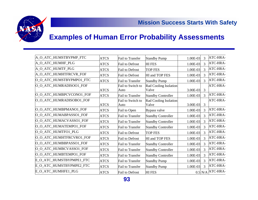



### **Examples of Human Error Probability Assessments**

| A_O_ATC_HUMSTBYPMP_FTC   | <b>ATCS</b> | <b>Fail to Transfer</b>   | <b>Standby Pump</b>                   | 1.00E-03   | 3 | ATC-HRA-            |
|--------------------------|-------------|---------------------------|---------------------------------------|------------|---|---------------------|
| A_O_ATC_HUMHF_PLG        | <b>ATCS</b> | Fail to Defrost           | <b>HIFES</b>                          | 1.00E-03   | 3 | ATC-HRA-            |
| A_O_ATC_HUMTF_PLG        | <b>ATCS</b> | Fail to Defrost           | <b>TOP FES</b>                        | 1.00E-03   | 3 | ATC-HRA-            |
| A_O_ATC_HUMHTFRCVR_FOF   | <b>ATCS</b> | <b>Fail to Defrost</b>    | HI and TOP FES                        | 1.00E-03   | 3 | ATC-HRA-            |
| O_O_ATC_HUMSTBYPMPO1_FTC | <b>ATCS</b> | <b>Fail to Transfer</b>   | <b>Standby Pump</b>                   | $1.00E-03$ | 3 | ATC-HRA-            |
| O_O_ATC_HUMRADISOO1_FOF  | <b>ATCS</b> | Fail to Switch to<br>Auto | Rad Cooling Isolation<br>Valve        | 3.00E-03   | 3 | ATC-HRA-            |
| O_O_ATC_HUMBPCVCONO1_FOF | <b>ATCS</b> | Fail to Transfer          | <b>Standby Controller</b>             | 1.00E-03   | 3 | ATC-HRA-            |
| O_O_ATC_HUMRADISOBO1_FOF | <b>ATCS</b> | Fail to Switch to<br>Auto | <b>Rad Cooling Isolation</b><br>Valve | 3.00E-03   | 3 | ATC-HRA-            |
| O_O_ATC_HUMBPMANO1_FOF   | <b>ATCS</b> | Fail to Open              | Bypass valve                          | 1.00E-03   | 3 | ATC-HRA-            |
| O_O_ATC_HUMABPASSO1_FOF  | <b>ATCS</b> | <b>Fail to Transfer</b>   | <b>Standby Controller</b>             | 1.00E-03   | 3 | ATC-HRA-            |
| O_O_ATC_HUMACVASSO1_FOF  | <b>ATCS</b> | Fail to Transfer          | <b>Standby Controller</b>             | 1.00E-03   | 3 | ATC-HRA-            |
| O_O_ATC_HUMATEMPO1_FOF   | <b>ATCS</b> | <b>Fail to Transfer</b>   | <b>Standby Controller</b>             | 1.00E-03   | 3 | ATC-HRA-            |
| O_O_ATC_HUMTFO1_PLG      | <b>ATCS</b> | <b>Fail to Defrost</b>    | <b>TOP FES</b>                        | 1.00E-03   | 3 | ATC-HRA-            |
| O_O_ATC_HUMHTFRCVRO1_FOF | <b>ATCS</b> | Fail to Defrost           | HI and TOP FES                        | 1.00E-03   | 3 | ATC-HRA-            |
| O_O_ATC_HUMBBPASSO1_FOF  | <b>ATCS</b> | Fail to Transfer          | <b>Standby Controller</b>             | 1.00E-03   | 3 | ATC-HRA-            |
| O_O_ATC_HUMBCVASSO1_FOF  | <b>ATCS</b> | <b>Fail to Transfer</b>   | <b>Standby Controller</b>             | 1.00E-03   | 3 | ATC-HRA-            |
| O_O_ATC_HUMBTEMPO1_FOF   | <b>ATCS</b> | Fail to Transfer          | <b>Standby Controller</b>             | 1.00E-03   | 3 | ATC-HRA-            |
| E_O_ATC_HUMSTBYPMPE1_FTC | <b>ATCS</b> | <b>Fail to Transfer</b>   | <b>Standby Pump</b>                   | 1.00E-03   | 3 | ATC-HRA-            |
| E_O_ATC_HUMSTBYPMPE2_FTC | <b>ATCS</b> | Fail to Transfer          | <b>Standby Pump</b>                   | 1.00E-03   | 3 | ATC-HRA-            |
| E_O_ATC_HUMHFE1_PLG      | <b>ATCS</b> | Fail to Defrost           | <b>HIFES</b>                          |            |   | $0.5$ N/A $ATC-HRA$ |
|                          |             |                           |                                       |            |   |                     |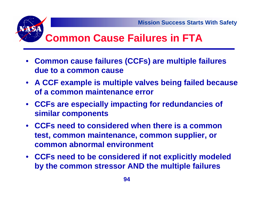# **Common Cause Failures in FTA**

- **Common cause failures (CCFs) are multiple failures due to a common cause**
- **A CCF example is multiple valves being failed because of a common maintenance error**
- **CCFs are especially impacting for redundancies of similar components**
- **CCFs need to considered when there is a common test, common maintenance, common supplier, or common abnormal environment**
- **CCFs need to be considered if not explicitly modeled by the common stressor AND the multiple failures**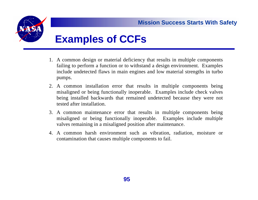

# **Examples of CCFs**

- 1. A common design or material deficiency that results in multiple components failing to perform a function or to withstand a design environment. Examples include undetected flaws in main engines and low material strengths in turbo pumps.
- 2. A common installation error that results in multiple components being misaligned or being functionally inoperable. Examples include check valves being installed backwards that remained undetected because they were not tested after installation.
- 3. A common maintenance error that results in multiple components being misaligned or being functionally inoperable. Examples include multiple valves remaining in a misaligned position after maintenance.
- 4. A common harsh environment such as vibration, radiation, moisture o r contamination that causes multiple components to fail.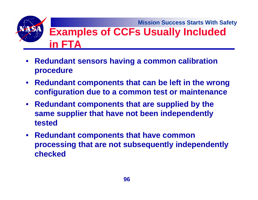**Mission Success Starts With Safety Examples of CCFs Usually Included in FTA**

- $\bullet$  **Redundant sensors having a common calibration procedure**
- $\bullet$  **Redundant components that can be left in the wrong configuration due to a common test or maintenance**
- **Redundant components that are supplied by the same supplier that have not been independently tested**
- $\bullet$  **Redundant components that have common processing that are not subsequently independently checked**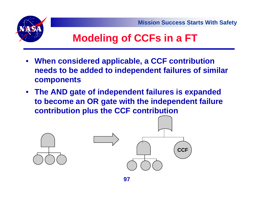



# **Modeling of CCFs in a FT**

- • **When considered applicable, a CCF contribution needs to be added to independent failures of similar components**
- **The AND gate of independent failures is expanded to become an OR gate with the independent failure contribution plus the CCF contribution**

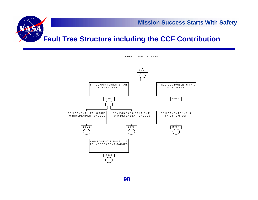

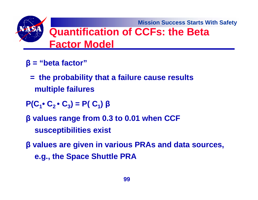**Mission Success Starts With Safety Quantification of CCFs: the Beta Factor Model**

- **β <sup>=</sup>"beta factor"**
	- **= the probability that a failure cause results multiple failures**
- $P(C_1 \cdot C_2 \cdot C_3) = P(C_1)$  β
- **β values range from 0.3 to 0.01 when CCF susceptibilities exist**
- **β values are given in various PRAs and data sources, e.g., the Space Shuttle PRA**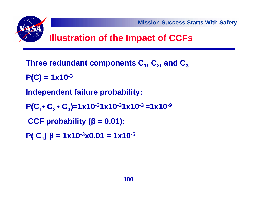

- **P(C) = 1x10-3**
- **Independent failure probability:**
- **P(C <sup>1</sup>• C2 • C 3)=1x10-31x10-31x10-3 =1x10-9**
- **CCF probability ( β = 0.01):**
- **P( C 1) β = 1x10-3x0.01 = 1x10-5**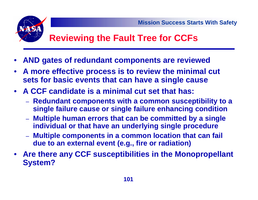

## **Reviewing the Fault Tree for CCFs**

- •**AND gates of redundant components are reviewed**
- **A more effective process is to review the minimal cut sets for basic events that can have a single cause**
- **A CCF candidate is a minimal cut set that has:**
	- **Redundant components with a common susceptibility to a single failure cause or single failure enhancing condition**
	- **Multiple human errors that can be committed by a single individual or that have an underlying single procedure**
	- **Multiple components in a common location that can fail due to an external event (e.g., fire or radiation)**
- **Are there any CCF susceptibilities in the Monopropellant System?**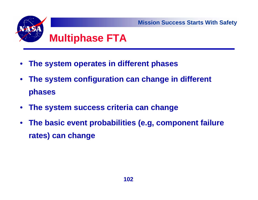

- •**The system operates in different phases**
- • **The system configuration can change in different phases**
- •**The system success criteria can change**
- • **The basic event probabilities (e.g, component failure rates) can change**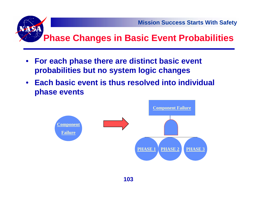

- • **For each phase there are distinct basic event probabilities but no system logic changes**
- **Each basic event is thus resolved into individual phase events**

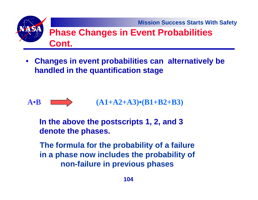

• **Changes in event probabilities can alternatively be handled in the quantification stage**



**In the above the postscripts 1, 2, and 3 denote the phases.**

**The formula for the probability of a failure in a phase now includes the probability of non-failure in previous phases**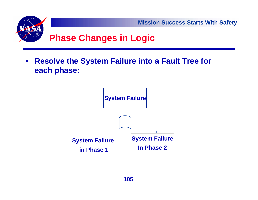

 $\bullet$  **Resolve the System Failure into a Fault Tree for each phase:**

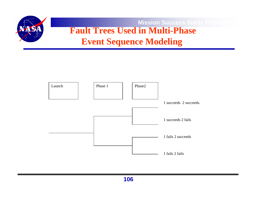

### **Mission Success Starts W Fault Trees Used in Multi-Phase Event Sequence Modeling**

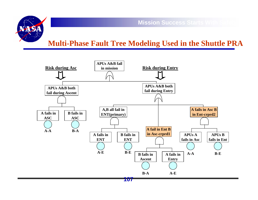

### **Multi-Phase Fault Tree Modeling Used in the Shuttle PRA**

**Mission Success Starts With** 

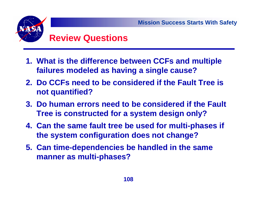

- **Review Questions**
- **1. What is the difference between CCFs and multiple failures modeled as having a single cause?**
- **2. Do CCFs need to be considered if the Fault Tree is not quantified?**
- **3. Do human errors need to be considered if the Fault Tree is constructed for a system design only?**
- **4. Can the same fault tree be used for multi-phases if the system configuration does not change?**
- **5. Can time-dependencies be handled in the same manner as multi-phases?**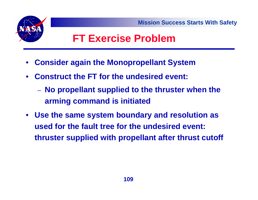



## **FT Exercise Problem**

- •**Consider again the Monopropellant System**
- • **Construct the FT for the undesired event:**
	- **No propellant supplied to the thruster when the arming command is initiated**
- $\bullet$  **Use the same system boundary and resolution as used for the fault tree for the undesired event: thruster supplied with propellant after thrust cutoff**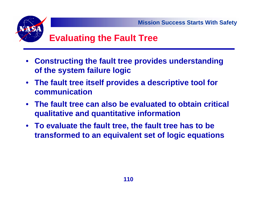

- • **Constructing the fault tree provides understanding of the system failure logic**
- **The fault tree itself provides a descriptive tool for communication**
- **The fault tree can also be evaluated to obtain critical qualitative and quantitative information**
- **To evaluate the fault tree, the fault tree has to be transformed to an equivalent set of logic equations**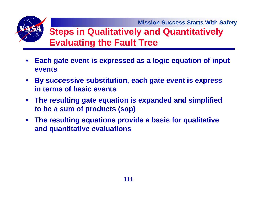

- $\bullet$  **Each gate event is expressed as a logic equation of input events**
- **By successive substitution, each gate event is express in terms of basic events**
- **The resulting gate equation is expanded and simplified to be a sum of products (sop)**
- **The resulting equations provide a basis for qualitative and quantitative evaluations**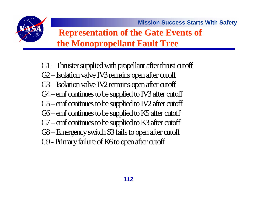

## **Representation of the Gate Events of the Monopropellant Fault Tree**

G1 – Thruster supplied with propellant after thrust cutoff G2 – Isolation valve IV3 remains open after cutoff G3 – Isolation valve IV2 remains open after cutoff G4 – emf continues to be supplied to IV3 after cutoff G5 – emf continues to be supplied to IV2 after cutoff G6 – emf continues to be supplied to K5 after cutoff G7 – emf continues to be supplied to K3 after cutoff G8 – Emergency switch S3 fails to open after cutoff G9 - Primary failure of K6 to open after cutoff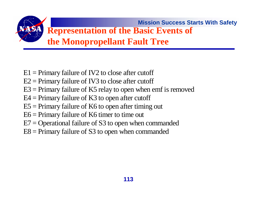

- $E1$  = Primary failure of IV2 to close after cutoff
- $E2 =$  Primary failure of IV3 to close after cutoff
- $E3$  = Primary failure of K5 relay to open when emf is removed
- $E4$  = Primary failure of K3 to open after cutoff
- $E5 =$  Primary failure of K6 to open after timing out
- E6 = Primary failure of K6 timer to time out
- $E7 =$  Operational failure of S3 to open when commanded
- $E8 =$  Primary failure of S3 to open when commanded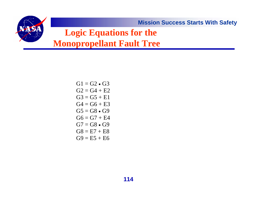**Logic Equations for the** 

**Monopropellant Fault Tree**

 $G1 = G2 \bullet G3$  $G2 = G4 + E2$  $G3 = G5 + E1$  $G4 = G6 + E3$  $G5=G8\bullet G9$  $G6 = G7 + E4$  $G7 = G8 \bullet G9$  $GS = E7 + E8$  $G9 = E5 + E6$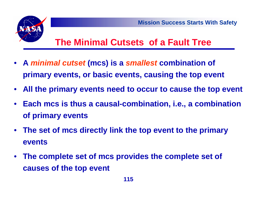

## **The Minimal Cutsets of a Fault Tree**

- **A** *minimal cutset* **(mcs) is a** *smallest* **combination of primary events, or basic events, causing the top event**
- •**All the primary events need to occur to cause the top event**
- **Each mcs is thus a causal-combination, i.e., a combination of primary events**
- **The set of mcs directly link the top event to the primary events**
- **The complete set of mcs provides the complete set of causes of the top event**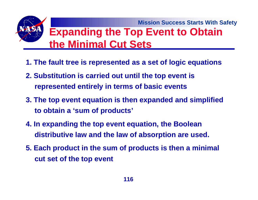**Mission Success Starts With Safety Expanding the Top Event to Obtain the Minimal Cut Sets**

- **1. The fault tree is represented as a set of logic equations**
- **2. Substitution is carried out until the top event is represented entirely in terms of basic events**
- **3. The top event equation is then expanded and simplified to obtain a 'sum of products'**
- **4. In expanding the top event equation, the Boolean distributive law and the law of absorption are used.**
- **5. Each product in the sum of products is then a minimal cut set of the top event**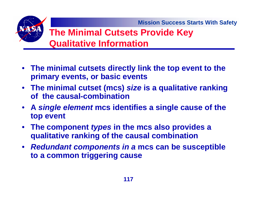## **The Minimal Cutsets Provide Key Qualitative Information**

- **The minimal cutsets directly link the top event to the primary events, or basic events**
- **The minimal cutset (mcs)** *size* **is a qualitative ranking of the causal-combination**
- **A** *single element* **mcs identifies a single cause of the top event**
- **The component** *types* **in the mcs also provides a qualitative ranking of the causal combination**
- *Redundant components in a* **mcs can be susceptible to a common triggering cause**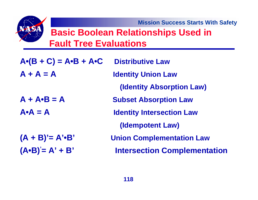## **Basic Boolean Relationships Used in Fault Tree Evaluations**

| $A \cdot (B + C) = A \cdot B + A \cdot C$ | <b>Distributive Law</b>             |
|-------------------------------------------|-------------------------------------|
| $A + A = A$                               | <b>Identity Union Law</b>           |
|                                           | <b>(Identity Absorption Law)</b>    |
| $A + A \cdot B = A$                       | <b>Subset Absorption Law</b>        |
| $A \cdot A = A$                           | <b>Identity Intersection Law</b>    |
|                                           | (Idempotent Law)                    |
| $(A + B)' = A' \cdot B'$                  | <b>Union Complementation Law</b>    |
| $(A \cdot B)' = A' + B'$                  | <b>Intersection Complementation</b> |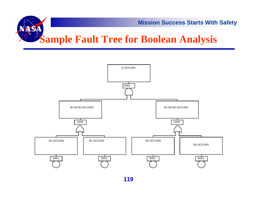

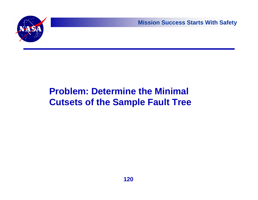

## **Problem: Determine the Minimal Cutsets of the Sample Fault Tree**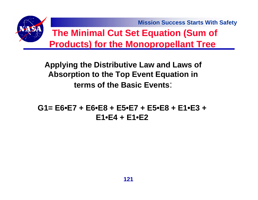**Mission Success Starts With Safety The Minimal Cut Set Equation (Sum of Products) for the Monopropellant Tree** 

> **Applying the Distributive Law and Laws of Absorption to the Top Event Equation in terms of the Basic Events**:

**G1= E6•E7 + E6•E8 + E5•E7 + E5•E8 + E1•E3 + E1•E4 + E1•E2**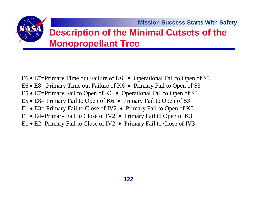## **Description of the Minimal Cutsets of the Monopropellant Tree**

- E6 E7=Primary Time out Failure of K6 Operational Fail to Open of S3
- E6 E8= Primary Time out Failure of K6 Primary Fail to Open of S3
- E5 E7=Primary Fail to Open of K6 Operational Fail to Open of S3
- E5 E8= Primary Fail to Open of K6 Primary Fail to Open of S3
- E1 E3= Primary Fail to Close of IV2 Primary Fail to Open of K5
- E1 E4=Primary Fail to Close of IV2 Primary Fail to Open of K3
- E1 E2=Primary Fail to Close of IV2 Primary Fail to Close of IV3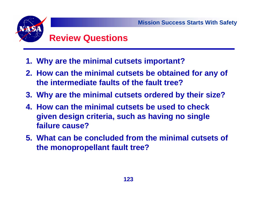# **Review Questions**

- **1. Why are the minimal cutsets important?**
- **2. How can the minimal cutsets be obtained for any of the intermediate faults of the fault tree?**
- **3. Why are the minimal cutsets ordered by their size?**
- **4. How can the minimal cutsets be used to check given design criteria, such as having no single failure cause?**
- **5. What can be concluded from the minimal cutsets of the monopropellant fault tree?**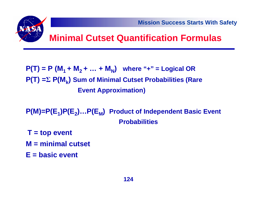

**P(T) = P (M1 + M2 + … + M N) where "+" = Logical OR P(T) = Σ P(M k) Sum of Minimal Cutset Probabilities (Rare Event Approximation)**

P(M)=P(E<sub>1</sub>)P(E<sub>2</sub>)…P(E<sub>M</sub>) Product of Independent Basic Event **Probabilities** 

- **T = top event**
- **M = minimal cutset**
- **E = basic event**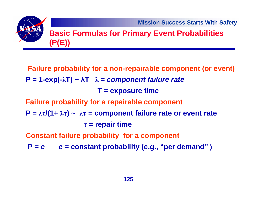### **Basic Formulas for Primary Event Probabilities (P(E))**

**Failure probability for a non-repairable component (or event) P = 1-exp(- λT) ~ λT λ <sup>=</sup>***component failure rate* **T = exposure time Failure probability for a repairable component P** =  $\lambda \tau/(1+\lambda \tau)$  ~  $\lambda \tau$  = component failure rate or event rate **τ = repair time Constant failure probability for a component P = c c = constant probability (e.g., "per demand" )**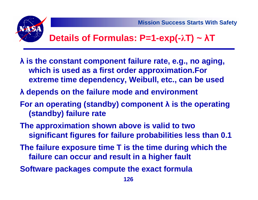

## **Details of Formulas: P=1-exp(- λT) ~ λT**

- **λ is the constant component failure rate, e.g., no aging, which is used as a first order approximation.For extreme time dependency, Weibull, etc., can be used**
- **λ depends on the failure mode and environment**
- **For an operating (standby) component λ is the operating (standby) failure rate**
- **The approximation shown above is valid to two significant figures for failure probabilities less than 0.1**
- **The failure exposure time T is the time during which the failure can occur and result in a higher fault**
- **Software packages compute the exact formula**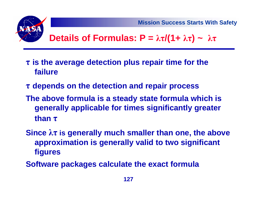

## **Details of Formulas:**  $P = \lambda \tau/(1 + \lambda \tau) \sim \lambda \tau$

- **τ is the average detection plus repair time for the failure**
- **τ depends on the detection and repair process**
- **The above formula is a steady state formula which is generally applicable for times significantly greater than τ**
- **Since λτ is generally much smaller than one, the above approximation is generally valid to two significant figures**
- **Software packages calculate the exact formula**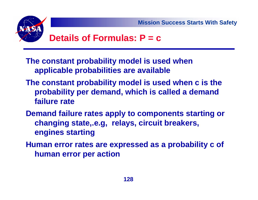

## **Details of Formulas: P = c**

- **The constant probability model is used when applicable probabilities are available**
- **The constant probability model is used when c is the probability per demand, which is called a demand failure rate**
- **Demand failure rates apply to components starting or changing state,.e.g, relays, circuit breakers, engines starting**
- **Human error rates are expressed as a probability c of human error per action**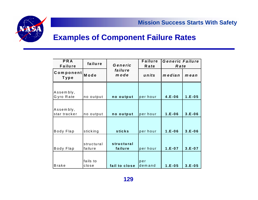

#### **Examples of Component Failure Rates**

| <b>PRA</b><br><b>Failure</b> | failure               | <b>Failure</b><br>Generic<br><b>Rate</b> |               | <b>Generic Failure</b><br>Rate |          |
|------------------------------|-----------------------|------------------------------------------|---------------|--------------------------------|----------|
| Component<br>Type            | Mode                  | failure<br>mode                          | units         | median                         | mean     |
|                              |                       |                                          |               |                                |          |
| Assembly,<br>Gyro Rate       | no output             | no output                                | per hour      | $4.E-06$                       | $1.E-05$ |
|                              |                       |                                          |               |                                |          |
| Assembly,<br>star tracker    | no output             | no output                                | per hour      | $1.E-06$                       | $3.E-06$ |
|                              |                       |                                          |               |                                |          |
| Body Flap                    | sticking              | <b>sticks</b>                            | per hour      | $1.E-06$                       | $3.E-06$ |
|                              |                       |                                          |               |                                |          |
| Body Flap                    | structural<br>failure | structural<br>failure                    | per hour      | $1.E-07$                       | $3.E-07$ |
|                              |                       |                                          |               |                                |          |
| Brake                        | fails to<br>close     | fail to close                            | per<br>demand | $1.E-05$                       | $3.E-05$ |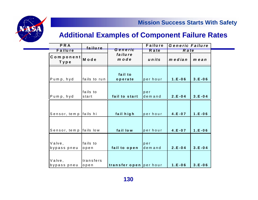



#### **Additional Examples of Component Failure Rates**

| <b>PRA</b><br>Failure  | failure      | Failure<br>Generic<br>R a te |          | Generic Failure<br>R a te |            |
|------------------------|--------------|------------------------------|----------|---------------------------|------------|
| Component<br>Type      | Mode         | failure<br>mode              | units    | median                    | mean       |
|                        |              | fail to                      |          |                           |            |
| Pump, hyd              | fails to run | operate                      | per hour | $1.E-06$                  | $3.E-06$   |
|                        |              |                              |          |                           |            |
|                        | fails to     |                              | per      |                           |            |
| Pump, hyd              | start        | fail to start                | demand   | $2.E - 04$                | $3.E - 04$ |
|                        |              |                              |          |                           |            |
| Sensor, temp fails hi  |              | fail high                    | per hour | $4.E - 07$                | $1.E - 06$ |
|                        |              |                              |          |                           |            |
| Sensor, temp fails low |              | fail low                     | per hour | $4.E - 07$                | $1.E - 06$ |
|                        |              |                              |          |                           |            |
| Valve,                 | fails to     |                              | per      |                           |            |
| bypass pneu            | open         | fail to open                 | demand   | $2.E - 04$                | $3.E - 04$ |
|                        |              |                              |          |                           |            |
| Valve,                 | transfers    |                              |          |                           |            |
| bypass pneu            | open         | transfer open per hour       |          | $1.E-06$                  | $3.E - 06$ |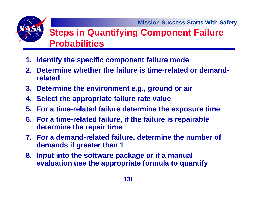## **Steps in Quantifying Component Failure Probabilities**

- **1. Identify the specific component failure mode**
- **2. Determine whether the failure is time-related or demandrelated**
- **3. Determine the environment e.g., ground or air**
- **4. Select the appropriate failure rate value**
- **5. For a time-related failure determine the exposure time**
- **6. For a time-related failure, if the failure is repairable determine the repair time**
- **7. For a demand-related failure, determine the number of demands if greater than 1**
- **8. Input into the software package or if a manual evaluation use the appropriate formula to quantify**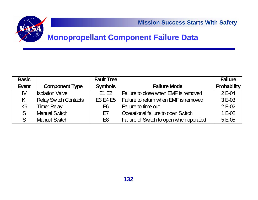

#### **Monopropellant Component Failure Data**

| <b>Basic</b>   |                              | <b>Fault Tree</b> |                                                | <b>Failure</b>     |
|----------------|------------------------------|-------------------|------------------------------------------------|--------------------|
| <b>Event</b>   | <b>Component Type</b>        | <b>Symbols</b>    | <b>Failure Mode</b>                            | <b>Probability</b> |
| IV             | <b>Ilsolation Valve</b>      | E1 E2             | <b>Failure to close when EMF is removed</b>    | 2 E-04             |
| K              | <b>Relay Switch Contacts</b> | E3 E4 E5          | Failure to return when EMF is removed          | $3E-03$            |
| K <sub>6</sub> | <b>Timer Relay</b>           | E <sub>6</sub>    | <b>Failure to time out</b>                     | $2E-02$            |
| S              | <b>Manual Switch</b>         | E7                | Operational failure to open Switch             | $1 E-02$           |
|                | <b>Manual Switch</b>         | E <sub>8</sub>    | <b>Failure of Switch to open when operated</b> | $5E-05$            |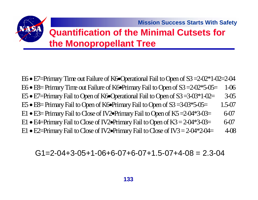## **Quantification of the Minimal Cutsets for the Monopropellant Tree**

E6 • E7=Primary Time out Failure of K6•Operational Fail to Open of S3 =2-02\*1-02=2-04 E6 • E8= Primary Time out Failure of K6•Primary Fail to Open of S3 =2-02\*5-05= 1-06 E5 • E7=Primary Fail to Open of K6•Operational Fail to Open of S3 =3-03\*1-02= 3-05 E5 • E8= Primary Fail to Open of K6•Primary Fail to Open of S3 =3-03\*5-05= 1.5-07 E1 • E3= Primary Fail to Close of IV2•Primary Fail to Open of K5 =2-04\*3-03= 6-07 E1  $\bullet$  E4=Primary Fail to Close of IV2 $\bullet$ Primary Fail to Open of K3 = 2-04\*3-03=  $\qquad$  6-07 E1 • E2=Primary Fail to Close of IV2•Primary Fail to Close of IV3 = 2-04\*2-04= 4-08

#### $G1=2-04+3-05+1-06+6-07+6-07+1.5-07+4-08 = 2.3-04$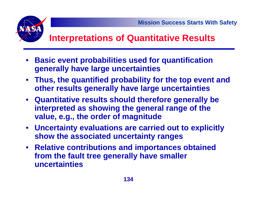

## **Interpretations of Quantitative Results**

- **Basic event probabilities used for quantification generally have large uncertainties**
- **Thus, the quantified probability for the top event and other results generally have large uncertainties**
- **Quantitative results should therefore generally be interpreted as showing the general range of the value, e.g., the order of magnitude**
- **Uncertainty evaluations are carried out to explicitly show the associated uncertainty ranges**
- **Relative contributions and importances obtained from the fault tree generally have smaller uncertainties**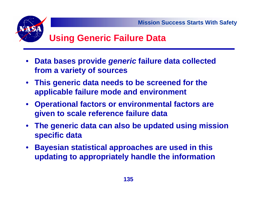

## **Using Generic Failure Data**

- • **Data bases provide** *generic* **failure data collected from a variety of sources**
- **This generic data needs to be screened for the applicable failure mode and environment**
- **Operational factors or environmental factors are given to scale reference failure data**
- • **The generic data can also be updated using mission specific data**
- **Bayesian statistical approaches are used in this updating to appropriately handle the information**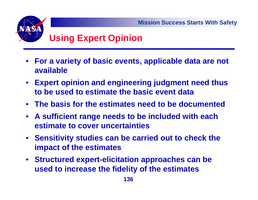

- **For a variety of basic events, applicable data are not available**
- **Expert opinion and engineering judgment need thus to be used to estimate the basic event data**
- **The basis for the estimates need to be documented**
- **A sufficient range needs to be included with each estimate to cover uncertainties**
- **Sensitivity studies can be carried out to check the impact of the estimates**
- **Structured expert-elicitation approaches can be used to increase the fidelity of the estimates**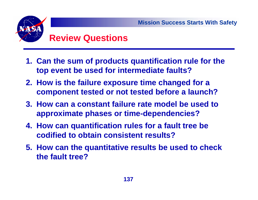

## **Review Questions**

- **1. Can the sum of products quantification rule for the top event be used for intermediate faults?**
- **2. How is the failure exposure time changed for a component tested or not tested before a launch?**
- **3. How can a constant failure rate model be used to approximate phases or time-dependencies?**
- **4. How can quantification rules for a fault tree be codified to obtain consistent results?**
- **5. How can the quantitative results be used to check the fault tree?**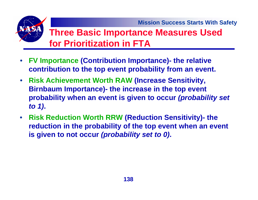## **Three Basic Importance Measures Used for Prioritization in FTA**

- • **FV Importance (Contribution Importance)- the relative contribution to the top event probability from an event.**
- **Risk Achievement Worth RAW (Increase Sensitivity, Birnbaum Importance)- the increase in the top event probability when an event is given to occur** *(probability set to 1)***.**
- $\bullet$  **Risk Reduction Worth RRW (Reduction Sensitivity)- the reduction in the probability of the top event when an event is given to not occur** *(probability set to 0)***.**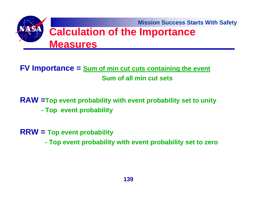

**FV Importance = Sum of min cut cuts containing the event Sum of all min cut sets**

**RAW =Top event probability with event probability set to unity - Top event probability**

**RRW = Top event probability** 

**- Top event probability with event probability set to zero**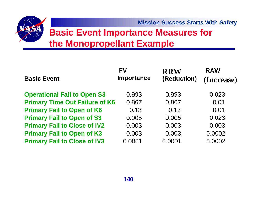## **Basic Event Importance Measures for the Monopropellant Example**

| <b>Basic Event</b>                    | <b>FV</b><br>Importance | <b>RRW</b><br>(Reduction) | <b>RAW</b><br>(Increase) |
|---------------------------------------|-------------------------|---------------------------|--------------------------|
| <b>Operational Fail to Open S3</b>    | 0.993                   | 0.993                     | 0.023                    |
| <b>Primary Time Out Failure of K6</b> | 0.867                   | 0.867                     | 0.01                     |
| <b>Primary Fail to Open of K6</b>     | 0.13                    | 0.13                      | 0.01                     |
| <b>Primary Fail to Open of S3</b>     | 0.005                   | 0.005                     | 0.023                    |
| <b>Primary Fail to Close of IV2</b>   | 0.003                   | 0.003                     | 0.003                    |
| <b>Primary Fail to Open of K3</b>     | 0.003                   | 0.003                     | 0.0002                   |
| <b>Primary Fail to Close of IV3</b>   | 0.0001                  | 0.0001                    | 0.0002                   |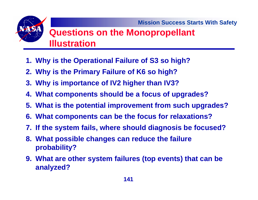## **Questions on the Monopropellant Illustration**

- **1. Why is the Operational Failure of S3 so high?**
- **2. Why is the Primary Failure of K6 so high?**
- **3. Why is importance of IV2 higher than IV3?**
- **4. What components should be a focus of upgrades?**
- **5. What is the potential improvement from such upgrades?**
- **6. What components can be the focus for relaxations?**
- **7. If the system fails, where should diagnosis be focused?**
- **8. What possible changes can reduce the failure probability?**
- **9. What are other system failures (top events) that can be analyzed?**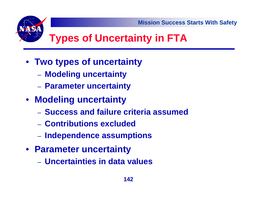

- **Two types of uncertainty**
	- **Modeling uncertainty**
	- **Parameter uncertainty**
- **Modeling uncertainty**
	- **Success and failure criteria assumed**
	- **Contributions excluded**
	- **Independence assumptions**
- **Parameter uncertainty**
	- **Uncertainties in data values**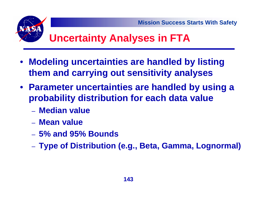## **Uncertainty Analyses in FTA**

- **Modeling uncertainties are handled by listing them and carrying out sensitivity analyses**
- **Parameter uncertainties are handled by using a probability distribution for each data value**
	- **Median value**
	- **Mean value**
	- **5% and 95% Bounds**
	- **Type of Distribution (e.g., Beta, Gamma, Lognormal)**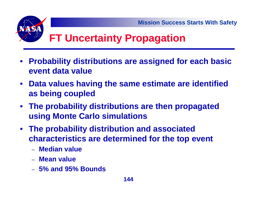# **FT Uncertainty Propagation**

- **Probability distributions are assigned for each basic event data value**
- **Data values having the same estimate are identified as being coupled**
- **The probability distributions are then propagated using Monte Carlo simulations**
- **The probability distribution and associated characteristics are determined for the top event**
	- **Median value**
	- **Mean value**
	- **5% and 95% Bounds**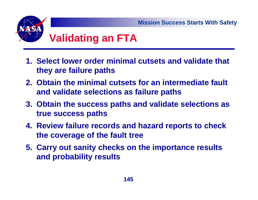

- **1. Select lower order minimal cutsets and validate that they are failure paths**
- **2. Obtain the minimal cutsets for an intermediate fault and validate selections as failure paths**
- **3. Obtain the success paths and validate selections as true success paths**
- **4. Review failure records and hazard reports to check the coverage of the fault tree**
- **5. Carry out sanity checks on the importance results and probability results**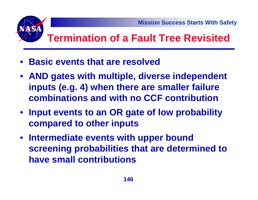# **Termination of a Fault Tree Revisited**

- **Basic events that are resolved**
- **AND gates with multiple, diverse independent inputs (e.g. 4) when there are smaller failure combinations and with no CCF contribution**
- **Input events to an OR gate of low probability compared to other inputs**
- **Intermediate events with upper bound screening probabilities that are determined to have small contributions**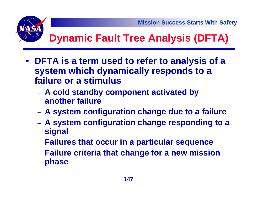

# **Dynamic Fault Tree Analysis (DFTA)**

- **DFTA is a term used to refer to analysis of a system which dynamically responds to a failure or a stimulus**
	- **A cold standby component activated by another failure**
	- **A system configuration change due to a failure**
	- **A system configuration change responding to a signal**
	- **Failures that occur in a particular sequence**
	- **Failure criteria that change for a new mission phase**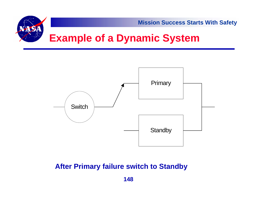



#### **After Primary failure switch to Standby**

**148**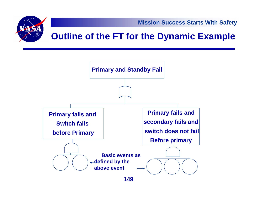

**149**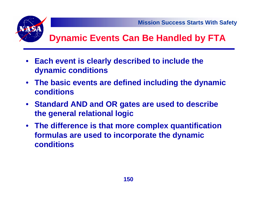

# **Dynamic Events Can Be Handled by FTA**

- • **Each event is clearly described to include the dynamic conditions**
- **The basic events are defined including the dynamic conditions**
- **Standard AND and OR gates are used to describe the general relational logic**
- **The difference is that more complex quantification formulas are used to incorporate the dynamic conditions**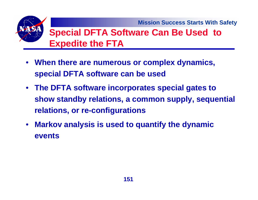## **Special DFTA Software Can Be Used to Expedite the FTA**

- **When there are numerous or complex dynamics, special DFTA software can be used**
- **The DFTA software incorporates special gates to show standby relations, a common supply, sequential relations, or re-configurations**
- $\bullet$  **Markov analysis is used to quantify the dynamic events**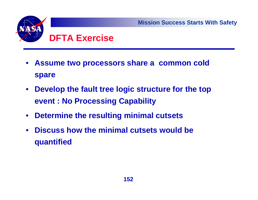

- $\bullet$  **Assume two processors share a common cold spare**
- $\bullet$  **Develop the fault tree logic structure for the top event : No Processing Capability**
- $\bullet$ **Determine the resulting minimal cutsets**
- $\bullet$  **Discuss how the minimal cutsets would be quantified**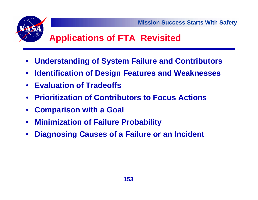

# **Applications of FTA Revisited**

- •**Understanding of System Failure and Contributors**
- •**Identification of Design Features and Weaknesses**
- **Evaluation of Tradeoffs**
- **Prioritization of Contributors to Focus Actions**
- •**Comparison with a Goal**
- $\bullet$ **Minimization of Failure Probability**
- •**Diagnosing Causes of a Failure or an Incident**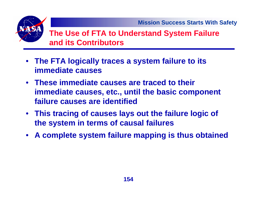

**The Use of FTA to Understand System Failure and its Contributors**

- **The FTA logically traces a system failure to its immediate causes**
- **These immediate causes are traced to their immediate causes, etc., until the basic component failure causes are identified**
- **This tracing of causes lays out the failure logic of the system in terms of causal failures**
- •**A complete system failure mapping is thus obtained**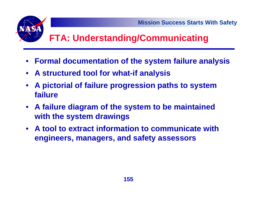# **FTA: Understanding/Communicating**

- **Formal documentation of the system failure analysis**
- **A structured tool for what-if analysis**
- • **A pictorial of failure progression paths to system failure**
- **A failure diagram of the system to be maintained with the system drawings**
- **A tool to extract information to communicate with engineers, managers, and safety assessors**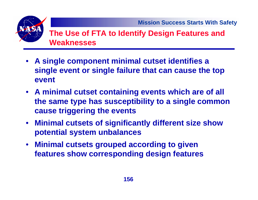

#### **The Use of FTA to Identify Design Features and Weaknesses**

- **A single component minimal cutset identifies a single event or single failure that can cause the top event**
- **A minimal cutset containing events which are of all the same type has susceptibility to a single common cause triggering the events**
- **Minimal cutsets of significantly different size show potential system unbalances**
- $\bullet$  **Minimal cutsets grouped according to given features show corresponding design features**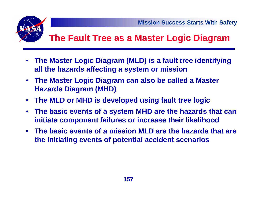

# **The Fault Tree as a Master Logic Diagram**

- $\bullet$  **The Master Logic Diagram (MLD) is a fault tree identifying all the hazards affecting a system or mission**
- **The Master Logic Diagram can also be called a Master Hazards Diagram (MHD)**
- $\bullet$ **The MLD or MHD is developed using fault tree logic**
- $\bullet$  **The basic events of a system MHD are the hazards that can initiate component failures or increase their likelihood**
- **The basic events of a mission MLD are the hazards that are the initiating events of potential accident scenarios**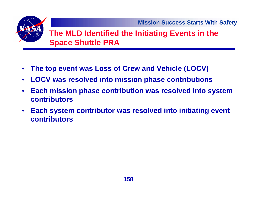

#### **The MLD Identified the Initiating Events in the Space Shuttle PRA**

- •**The top event was Loss of Crew and Vehicle (LOCV)**
- $\bullet$ **LOCV was resolved into mission phase contributions**
- $\bullet$  **Each mission phase contribution was resolved into system contributors**
- $\bullet$  **Each system contributor was resolved into initiating event contributors**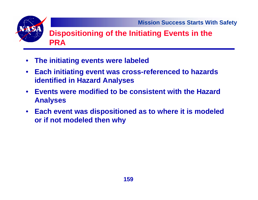#### **Dispositioning of the Initiating Events in the PRA**

- **The initiating events were labeled**
- $\bullet$  **Each initiating event was cross-referenced to hazards identified in Hazard Analyses**
- $\bullet$  **Events were modified to be consistent with the Hazard Analyses**
- **Each event was dispositioned as to where it is modeled or if not modeled then why**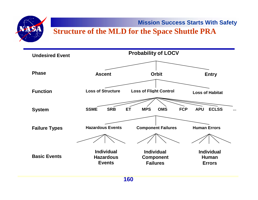

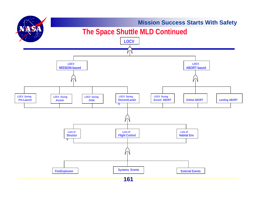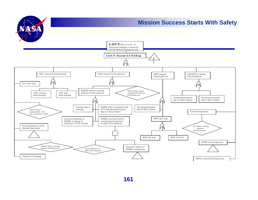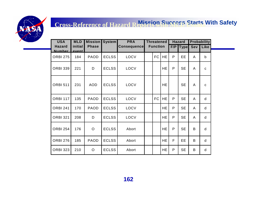VA SA

| <b>USA</b>                     | <b>MLD</b>              | <b>Mission</b> | <b>System</b> | <b>PRA</b>         |                 | <b>Threatened</b> |              | <b>Hazard</b> |                | <b>Probability</b> |  |
|--------------------------------|-------------------------|----------------|---------------|--------------------|-----------------|-------------------|--------------|---------------|----------------|--------------------|--|
| <b>Hazard</b><br><b>Number</b> | initial<br><b>Avent</b> | <b>Phase</b>   |               | <b>Consequence</b> | <b>Function</b> |                   | F/P          | <b>Type</b>   | <b>Sev</b>     | Like               |  |
| ORBI 275                       | 184                     | <b>PAOD</b>    | <b>ECLSS</b>  | LOCV               | FC              | <b>HE</b>         | P            | EE            | A              | $\mathsf b$        |  |
| ORBI 339                       | 221                     | D              | <b>ECLSS</b>  | LOCV               |                 | HE                | P            | <b>SE</b>     | A              | $\mathbf{C}$       |  |
| ORBI 511                       | 231                     | <b>AOD</b>     | <b>ECLSS</b>  | LOCV               |                 | <b>HE</b>         |              | <b>SE</b>     | $\overline{A}$ | $\mathbf{C}$       |  |
| <b>ORBI 117</b>                | 135                     | <b>PAOD</b>    | <b>ECLSS</b>  | LOCV               | FC              | <b>HE</b>         | P            | <b>SE</b>     | A              | d                  |  |
| <b>ORBI 241</b>                | 170                     | PAOD           | <b>ECLSS</b>  | LOCV               |                 | HE.               | P            | <b>SE</b>     | A              | d                  |  |
| <b>ORBI 321</b>                | 208                     | D              | <b>ECLSS</b>  | LOCV               |                 | <b>HE</b>         | P            | <b>SE</b>     | A              | d                  |  |
| <b>ORBI 254</b>                | 176                     | $\circ$        | <b>ECLSS</b>  | Abort              |                 | <b>HE</b>         | P            | <b>SE</b>     | B              | d                  |  |
| <b>ORBI 276</b>                | 185                     | <b>PAOD</b>    | <b>ECLSS</b>  | Abort              |                 | <b>HE</b>         | $\mathsf F$  | EE            | B              | d                  |  |
| <b>ORBI 323</b>                | 210                     | $\circ$        | <b>ECLSS</b>  | Abort              |                 | HE                | $\mathsf{P}$ | <b>SE</b>     | B              | d                  |  |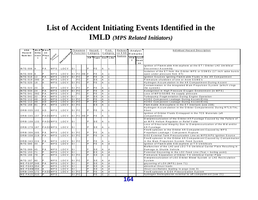#### **Mission Success Starts With Safety List of Accident Initiating Events Identified in the IMLD** *(MPS Related Initiators)*

| <b>USA</b>         | <b>MLD</b> Missi |                |            |               |                              | Threatene             |  | Hazard         |                                    | P rob          |                | Referen | Analyst |            | Individual Hazard Description                                            |
|--------------------|------------------|----------------|------------|---------------|------------------------------|-----------------------|--|----------------|------------------------------------|----------------|----------------|---------|---------|------------|--------------------------------------------------------------------------|
| Hazard             | initia<br>o n    |                |            |               |                              | Function              |  | Category       |                                    | Category       |                | ce ESD  | Remarks |            |                                                                          |
| Num ber            | even Phas        |                |            |               |                              |                       |  |                |                                    |                |                | Names   |         |            |                                                                          |
|                    | $\mathbf{t}$     | $\mathbf{e}$   | SJStem     |               |                              |                       |  |                | F/P Type Sev Like                  |                |                |         |         | FT/E Justi |                                                                          |
|                    |                  |                |            | Pet Conseavel |                              |                       |  |                |                                    |                |                |         | T.      | f ic a ti  |                                                                          |
|                    |                  |                |            |               |                              |                       |  |                |                                    |                |                |         |         | on         |                                                                          |
|                    |                  |                |            |               |                              |                       |  |                |                                    |                |                |         |         |            | Ignition of Flamm able Atm osphere at the ET / Orbiter LH2 Um bilical    |
| IN TG 006 4        |                  | P A            | <b>MPS</b> | LOC V         | $\vert$ SI                   |                       |  | P              | FE.                                | A              | $\mathbf{C}$   |         |         |            | Disconnect Assembly                                                      |
|                    |                  |                |            |               |                              |                       |  |                |                                    |                |                |         |         |            | Isolation of the ET from the Orbiter MPS or SSMEs (17 inch valve bursts  |
| IN TG 009 6        |                  | lP.            | <b>MPS</b> | <b>LOCV</b>   |                              | $S \cup F C$ HE $F$   |  |                | F E                                | $\overline{A}$ | $\mathbf{c}$   |         |         |            | open under pressure from ET)                                             |
| INTG 016 12        |                  | P A            | <b>MPS</b> | <b>LOCV</b>   |                              | $S \mid FC$           |  |                | FE                                 | $\overline{A}$ | $\mathbf{c}$   |         |         |            | Ignition Sources Igniting Flammable Fluids in the Aft Compartment        |
| INTG 019 390       |                  |                | <b>MPS</b> | <b>LOCV</b>   |                              | F C                   |  |                | S E                                | $\overline{A}$ | $\mathbf{c}$   |         |         |            | Premature shutdown of one or more SSME's                                 |
| IN TG 020 18       |                  |                | <b>MPS</b> | LOC V         |                              | <b>S</b> IFC          |  | P              | FE                                 |                | $\mathbf{c}$   |         |         |            | Hydrogen Accum ulation in the Aft Compartment During Ascent              |
|                    |                  |                |            |               |                              |                       |  |                |                                    |                |                |         |         |            | Contamination in the Integrated M ain Propulsion System (which clogs     |
| IN TG 023 20       |                  |                | <b>MPS</b> | LOC V         |                              | $S \mid F C$          |  | P              | F E                                | A              | $\mathbf{C}$   |         |         |            | the system)                                                              |
| IN TG 034 24       |                  | P A            | <b>MPS</b> | <b>LOCV</b>   |                              | $S \sqcup F C$        |  | $\overline{P}$ | $\overline{FE}$                    | $\overline{A}$ | $\mathbf{c}$   |         |         |            | Autoignition in High Pressure Oxygen Environment (in MPS)                |
| IN TG 041 392      |                  | PA             | <b>MPS</b> | <b>LOCV</b>   |                              | F C                   |  | $\overline{F}$ | FE                                 | $\overline{A}$ | $\mathbf{c}$   |         |         |            | Loss of MPS/SSME He supply pressure                                      |
| INTG 042 32        |                  | P A            | <b>MPS</b> | <b>LOCV</b>   | $\overline{\mathsf{s}}$      |                       |  | $\overline{P}$ | S E                                | $\overline{A}$ | $\mathbf{c}$   |         |         |            | Turbopump Fragmentation During Engine Operation                          |
| IN TG 112 48       |                  | A <sub>D</sub> | <b>MPS</b> | LOC V         |                              | $S \mid FC$           |  | P              | FE                                 | $\overline{A}$ | $\mathbf{c}$   |         |         |            | H2/O2 Component Leakage During Ascent/Entry                              |
| INTG 112 49        |                  | A <sub>D</sub> | <b>MPS</b> | LOCV          |                              | $S \mid F C$          |  |                | FE                                 | $\overline{A}$ | $\mathtt{C}$   |         |         |            | H2/O2 Component Leakage During Ascent/Entry                              |
| INTG 168 81        |                  | P A            | <b>MPS</b> | LOC V         |                              | $S \mid F C$          |  |                | ΕE                                 | A              | c.             |         |         |            | Flam mable Atmosphere in the ET Intertank (see 238)                      |
|                    |                  |                |            |               |                              |                       |  |                |                                    |                |                |         |         |            | Hydrogen Accum ulation in the Orbiter Compartments During RTLS/TAL       |
| ORBI035 102        |                  | A D            | <b>MPS</b> | <b>LOCV</b>   |                              | $S \mid F C$          |  | P              | F E                                | $\overline{A}$ | $\mathbf{c}$   |         |         |            | Abort                                                                    |
|                    |                  |                |            |               |                              |                       |  |                |                                    |                |                |         |         |            | Ignition of Orbiter Fluids Entrapped in the TCS Materials (aft           |
| ORB1045107         |                  |                | PAODMPS    | LOC V         |                              | $S \cup F C$ $HE$ $P$ |  |                | F E                                | $\overline{A}$ | $\mathbf{C}$   |         |         |            | compartment)                                                             |
|                    |                  |                |            |               |                              |                       |  |                |                                    |                |                |         |         |            | Overpressurization of the Orbiter Aft Fuselage Caused by the Failure of  |
| ORBI108133         |                  |                | PAODMPS    | LOC V         | $\mathsf{S}$ 1               |                       |  | P              | S E                                | $\overline{A}$ | $\mathbf{c}$   |         |         |            | an MPS Helium Regulator or Relief Valve                                  |
|                    |                  |                |            |               |                              |                       |  |                |                                    |                |                |         |         |            | Loss of Structural Integrity Due to Overpressurization of the Mid and/or |
| ORBI 278 187       |                  |                | PAODMPS    | <b>LOCV</b>   | $\vert$ s i                  |                       |  | P              | SE                                 | $\overline{A}$ | c              |         |         |            | Aft Fuselage                                                             |
|                    |                  |                |            |               |                              |                       |  |                |                                    |                |                |         |         |            | Fire/Explosion in the Orbiter Aft Compartment Caused by MPS              |
| ORBI306 205        |                  | P A            | <b>MPS</b> | LOC V         |                              | $S \mid F C$          |  | P              | F E                                | $\overline{A}$ | $\mathbf{C}$   |         |         |            | Propellant Leakage / Component Rupture                                   |
| ORBI338 219        |                  | PA             | <b>MPS</b> | <b>LOCV</b>   |                              | $S \mid F C$          |  | P              | FE                                 | $\overline{A}$ | $\mathbf{c}$   |         |         |            | GO2 External Tank Pressurization Line as MPS/APU Ignition Source         |
|                    |                  |                |            |               |                              |                       |  |                |                                    |                |                |         |         |            | Fire/Explosion in the Orbiter Aft Compartment Caused by Contamination    |
| ORBI 343 224       |                  | P A            | <b>MPS</b> | LOCV          |                              | $S \mid F C$          |  | P              | F E                                | $\overline{A}$ | $\mathbf{c}$   |         |         |            | in the Main Propulsion System Feed System                                |
| <b>INTG 085 44</b> |                  |                | <b>MPS</b> | LOC V         | S                            |                       |  | P              | FE                                 | $\overline{A}$ | d              |         |         |            | Ignition of Flamm able A tm osphere at T-0 Umbilicals                    |
|                    |                  |                |            |               |                              |                       |  |                |                                    |                |                |         |         |            | Malfunction of the LH2 and LO2 T-0 Um bilical Carrier Plate Resulting in |
| IN TG 089 45       |                  | P A            | <b>MPS</b> | <b>LOCV</b>   | ls i                         |                       |  | E              | S <sub>E</sub>                     | $\overline{A}$ | d              |         |         |            | Damage to Shuttle Vehicle                                                |
| INTG 153 71        |                  | Þ              | <b>MPS</b> | LOC V         | $\overline{\mathsf{s}_\bot}$ |                       |  | P              | ΕE                                 | $\overline{A}$ | d              |         |         |            | Potential Geysering in the LO2 Feed Line (Tsat = boiling point)          |
| INTG 166 79        |                  |                | <b>MPS</b> | <b>LOCV</b>   |                              | $S \mid F C$          |  | $\overline{P}$ | S E                                |                | $\overline{d}$ |         |         |            | Premature Separation of Orbiter T-0 Umbilical Carrier Plate              |
|                    |                  |                |            |               |                              |                       |  |                |                                    |                |                |         |         |            | Overpressurization of LO2 Orbiter Bleed System or LH2 Recirculation      |
| IN TG 167 80       |                  |                | <b>MPS</b> | <b>LOCV</b>   |                              | $S \mid F C$          |  | P              | S E                                | A              | d              |         |         |            | System                                                                   |
| $ME-FG3P346$       |                  | <b>PA</b>      | <b>MPS</b> | <b>LOCV</b>   | $\overline{\mathsf{s}}$ l    |                       |  | P              | S E                                | A              | $\overline{d}$ |         |         |            | qeysering of LOX (MPS) (see 71)                                          |
| ME-FG6S354         |                  |                | MPS        | <b>LOCV</b>   | ls i                         |                       |  | P              | S E                                | $\overline{A}$ | d              |         |         |            | abnormal thrust loads                                                    |
| ME-FG8M 356        |                  |                | <b>MPS</b> | LOCV          | ls i                         |                       |  | P              | $\overline{\mathsf{S} \mathsf{E}}$ | $\overline{A}$ | Þ              |         |         |            | thrust oscillations leading to pogo (see 3)                              |
| ORBI 248 172       |                  |                | PAODMPS    | LOC V         |                              | $S \sqcap F C$        |  | P              | FE                                 | $\overline{A}$ | ď              |         |         |            | Fire/Explosion in GOX Pressurization System                              |
| ME-FA1S 310        |                  | <b>P</b>       | <b>MPS</b> |               |                              | $S \mid F C$          |  |                | FE                                 | C              | $\mathbf{c}$   |         |         |            | hydrogen fire/explosion external to aft compartment (see 21)             |
|                    |                  |                |            |               |                              |                       |  |                |                                    |                |                |         |         |            |                                                                          |

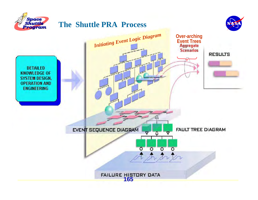

#### **The Shuttle PRA Process**



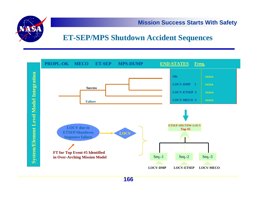

#### **ET-SEP/MPS Shutdown Accident Sequences**



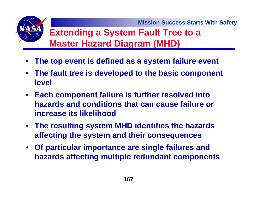## **Extending a System Fault Tree to a Master Hazard Diagram (MHD)**

- •**The top event is defined as a system failure event**
- **The fault tree is developed to the basic component level**
- **Each component failure is further resolved into hazards and conditions that can cause failure or increase its likelihood**
- **The resulting system MHD identifies the hazards affecting the system and their consequences**
- **Of particular importance are single failures and hazards affecting multiple redundant components**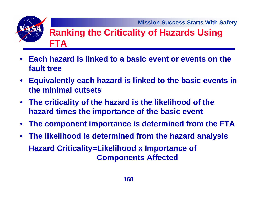## **Ranking the Criticality of Hazards Using FTA**

- **Each hazard is linked to a basic event or events on the fault tree**
- **Equivalently each hazard is linked to the basic events in the minimal cutsets**
- **The criticality of the hazard is the likelihood of the hazard times the importance of the basic event**
- •**The component importance is determined from the FTA**
- **The likelihood is determined from the hazard analysis Hazard Criticality=Likelihood x Importance of Components Affected**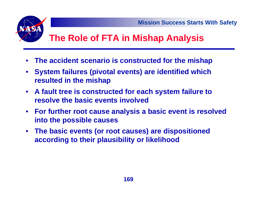# **The Role of FTA in Mishap Analysis**

- •**The accident scenario is constructed for the mishap**
- • **System failures (pivotal events) are identified which resulted in the mishap**
- **A fault tree is constructed for each system failure to resolve the basic events involved**
- **For further root cause analysis a basic event is resolved into the possible causes**
- **The basic events (or root causes) are dispositioned according to their plausibility or likelihood**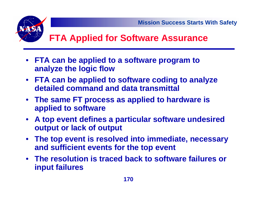# **FTA Applied for Software Assurance**

- **FTA can be applied to a software program to analyze the logic flow**
- **FTA can be applied to software coding to analyze detailed command and data transmittal**
- **The same FT process as applied to hardware is applied to software**
- **A top event defines a particular software undesired output or lack of output**
- **The top event is resolved into immediate, necessary and sufficient events for the top event**
- **The resolution is traced back to software failures or input failures**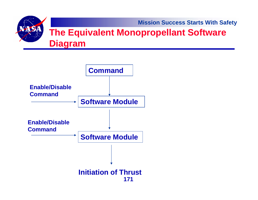**Mission Success Starts With Safety** VA SA **The Equivalent Monopropellant Software Diagram**

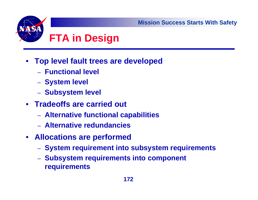

- **Top level fault trees are developed**
	- **Functional level**
	- **System level**
	- **Subsystem level**
- **Tradeoffs are carried out**
	- **Alternative functional capabilities**
	- **Alternative redundancies**
- **Allocations are performed**
	- **System requirement into subsystem requirements**
	- **Subsystem requirements into component requirements**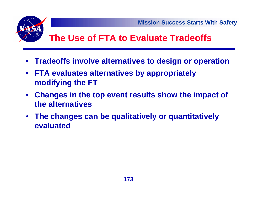

## **The Use of FTA to Evaluate Tradeoffs**

- **Tradeoffs involve alternatives to design or operation**
- **FTA evaluates alternatives by appropriately modifying the FT**
- **Changes in the top event results show the impact of the alternatives**
- • **The changes can be qualitatively or quantitatively evaluated**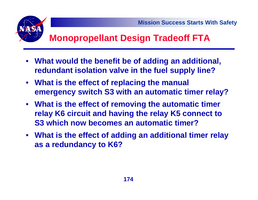

# **Monopropellant Design Tradeoff FTA**

- **What would the benefit be of adding an additional, redundant isolation valve in the fuel supply line?**
- **What is the effect of replacing the manual emergency switch S3 with an automatic timer relay?**
- **What is the effect of removing the automatic timer relay K6 circuit and having the relay K5 connect to S3 which now becomes an automatic timer?**
- **What is the effect of adding an additional timer relay as a redundancy to K6?**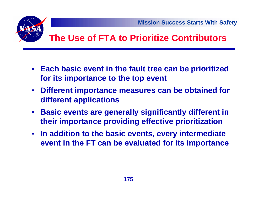



## **The Use of FTA to Prioritize Contributors**

- **Each basic event in the fault tree can be prioritized for its importance to the top event**
- **Different importance measures can be obtained for different applications**
- **Basic events are generally significantly different in their importance providing effective prioritization**
- **In addition to the basic events, every intermediate event in the FT can be evaluated for its importance**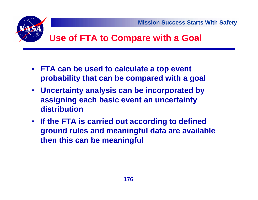

## **Use of FTA to Compare with a Goal**

- **FTA can be used to calculate a top event probability that can be compared with a goal**
- **Uncertainty analysis can be incorporated by assigning each basic event an uncertainty distribution**
- **If the FTA is carried out according to defined ground rules and meaningful data are available then this can be meaningful**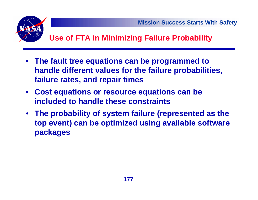

#### **Use of FTA in Minimizing Failure Probability**

- **The fault tree equations can be programmed to handle different values for the failure probabilities, failure rates, and repair times**
- **Cost equations or resource equations can be included to handle these constraints**
- **The probability of system failure (represented as the top event) can be optimized using available software packages**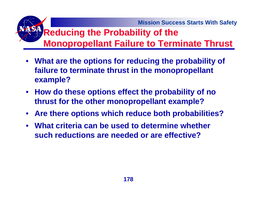# **Reducing the Probability of the Monopropellant Failure to Terminate Thrust**

- **What are the options for reducing the probability of failure to terminate thrust in the monopropellant example?**
- **How do these options effect the probability of no thrust for the other monopropellant example?**
- **Are there options which reduce both probabilities?**
- • **What criteria can be used to determine whether such reductions are needed or are effective?**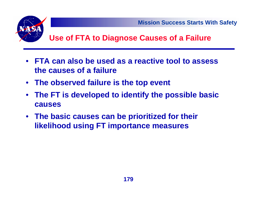

#### **Use of FTA to Diagnose Causes of a Failure**

- **FTA can also be used as a reactive tool to assess the causes of a failure**
- **The observed failure is the top event**
- **The FT is developed to identify the possible basic causes**
- **The basic causes can be prioritized for their likelihood using FT importance measures**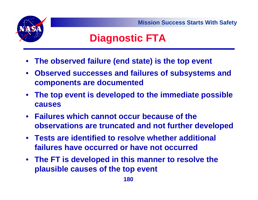**Mission Success Starts With Safety**

# **Diagnostic FTA**

- **The observed failure (end state) is the top event**
- **Observed successes and failures of subsystems and components are documented**
- **The top event is developed to the immediate possible causes**
- **Failures which cannot occur because of the observations are truncated and not further developed**
- **Tests are identified to resolve whether additional failures have occurred or have not occurred**
- **The FT is developed in this manner to resolve the plausible causes of the top event**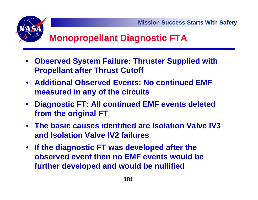

# **Monopropellant Diagnostic FTA**

- **Observed System Failure: Thruster Supplied with Propellant after Thrust Cutoff**
- **Additional Observed Events: No continued EMF measured in any of the circuits**
- **Diagnostic FT: All continued EMF events deleted from the original FT**
- **The basic causes identified are Isolation Valve IV3 and Isolation Valve IV2 failures**
- **If the diagnostic FT was developed after the observed event then no EMF events would be further developed and would be nullified**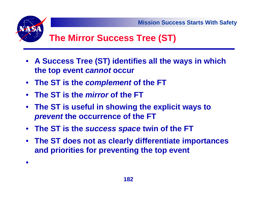

# **The Mirror Success Tree (ST)**

- **A Success Tree (ST) identifies all the ways in which the top event** *cannot* **occur**
- **The ST is the** *complement* **of the FT**
- **The ST is the** *mirror* **of the FT**

•

- **The ST is useful in showing the explicit ways to**  *prevent* **the occurrence of the FT**
- **The ST is the** *success space* **twin of the FT**
- **The ST does not as clearly differentiate importances and priorities for preventing the top event**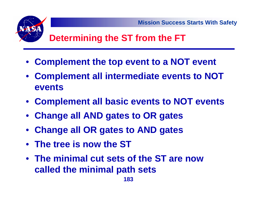

- **Complement the top event to a NOT event**
- **Complement all intermediate events to NOT events**
- **Complement all basic events to NOT events**
- **Change all AND gates to OR gates**
- **Change all OR gates to AND gates**
- **The tree is now the ST**
- **The minimal cut sets of the ST are now called the minimal path sets**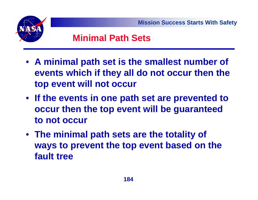

### **Minimal Path Sets**

- **A minimal path set is the smallest number of events which if they all do not occur then the top event will not occur**
- **If the events in one path set are prevented to occur then the top event will be guaranteed to not occur**
- **The minimal path sets are the totality of ways to prevent the top event based on the fault tree**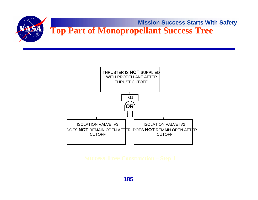



**185**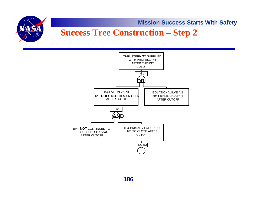

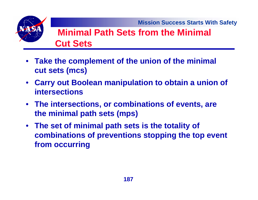

### **Minimal Path Sets from the Minimal Cut Sets**

- **Take the complement of the union of the minimal cut sets (mcs)**
- **Carry out Boolean manipulation to obtain a union of intersections**
- **The intersections, or combinations of events, are the minimal path sets (mps)**
- **The set of minimal path sets is the totality of combinations of preventions stopping the top event from occurring**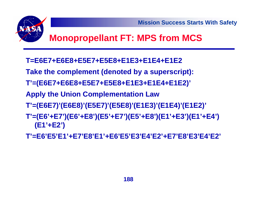

# **Monopropellant FT: MPS from MCS**

- **T=E6E7+E6E8+E5E7+E5E8+E1E3+E1E4+E1E2**
- **Take the complement (denoted by a superscript):**
- **T'=(E6E7+E6E8+E5E7+E5E8+E1E3+E1E4+E1E2)'**
- **Apply the Union Complementation Law**
- **T'=(E6E7)'(E6E8)'(E5E7)'(E5E8)'(E1E3)'(E1E4)'(E1E2)'**
- **T'=(E6'+E7')(E6'+E8')(E5'+E7')(E5'+E8')(E1'+E3')(E1'+E4') (E1'+E2')**
- **T'=E6'E5'E1'+E7'E8'E1'+E6'E5'E3'E4'E2'+E7'E8'E3'E4'E2'**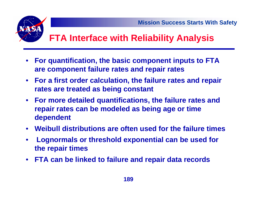# **FTA Interface with Reliability Analysis**

- $\bullet$  **For quantification, the basic component inputs to FTA are component failure rates and repair rates**
- **For a first order calculation, the failure rates and repair rates are treated as being constant**
- **For more detailed quantifications, the failure rates and repair rates can be modeled as being age or time dependent**
- **Weibull distributions are often used for the failure times**
- • **Lognormals or threshold exponential can be used for the repair times**
- **FTA can be linked to failure and repair data records**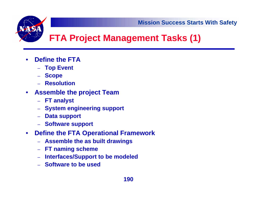# **FTA Project Management Tasks (1)**

- • **Define the FTA**
	- **Top Event**
	- –**Scope**
	- **Resolution**
- $\bullet$  **Assemble the project Team**
	- **FT analyst**
	- **System engineering support**
	- –**Data support**
	- **Software support**
- $\bullet$  **Define the FTA Operational Framework**
	- **Assemble the as built drawings**
	- –**FT naming scheme**
	- –**Interfaces/Support to be modeled**
	- **Software to be used**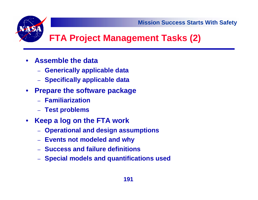# **FTA Project Management Tasks (2)**

- $\bullet$  **Assemble the data** 
	- –**Generically applicable data**
	- –**Specifically applicable data**
- **Prepare the software package**
	- **Familiarization**
	- **Test problems**
- $\bullet$  **Keep a log on the FTA work**
	- –**Operational and design assumptions**
	- –**Events not modeled and why**
	- **Success and failure definitions**
	- **Special models and quantifications used**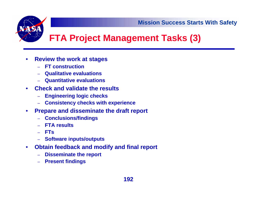

# **FTA Project Management Tasks (3)**

- $\bullet$  **Review the work at stages**
	- –**FT construction**
	- **Qualitative evaluations**
	- –**Quantitative evaluations**
- • **Check and validate the results**
	- –**Engineering logic checks**
	- –**Consistency checks with experience**
- $\bullet$  **Prepare and disseminate the draft report**
	- –**Conclusions/findings**
	- **FTA results**
	- **FTs**
	- –**Software inputs/outputs**
- $\bullet$  **Obtain feedback and modify and final report**
	- –**Disseminate the report**
	- –**Present findings**